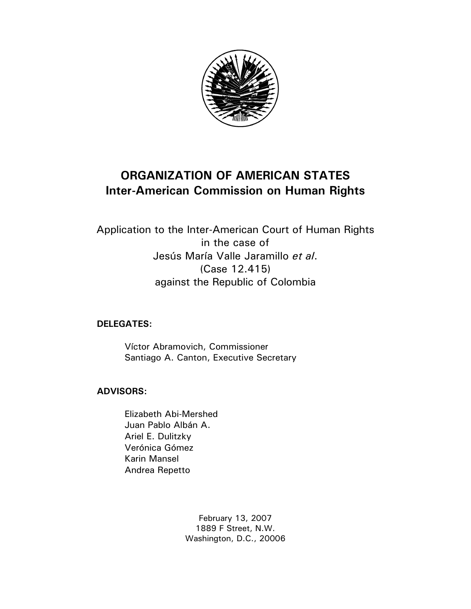

# **ORGANIZATION OF AMERICAN STATES Inter-American Commission on Human Rights**

Application to the Inter-American Court of Human Rights in the case of Jesús María Valle Jaramillo *et al*. (Case 12.415) against the Republic of Colombia

## **DELEGATES:**

 Víctor Abramovich, Commissioner Santiago A. Canton, Executive Secretary

## **ADVISORS:**

Elizabeth Abi-Mershed Juan Pablo Albán A. Ariel E. Dulitzky Verónica Gómez Karin Mansel Andrea Repetto

> February 13, 2007 1889 F Street, N.W. Washington, D.C., 20006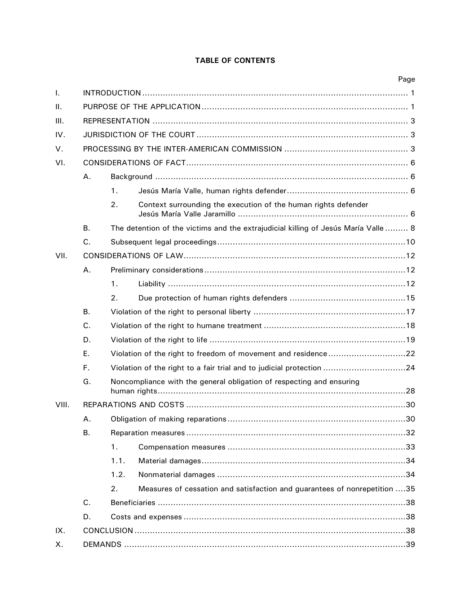## **TABLE OF CONTENTS**

|       |             |                                                                                    |                                                                           | Page |  |  |
|-------|-------------|------------------------------------------------------------------------------------|---------------------------------------------------------------------------|------|--|--|
| Τ.    |             |                                                                                    |                                                                           |      |  |  |
| Ш.    |             |                                                                                    |                                                                           |      |  |  |
| III.  |             |                                                                                    |                                                                           |      |  |  |
| IV.   |             |                                                                                    |                                                                           |      |  |  |
| V.    |             |                                                                                    |                                                                           |      |  |  |
| VI.   |             |                                                                                    |                                                                           |      |  |  |
|       | Α.          |                                                                                    |                                                                           |      |  |  |
|       |             | 1.                                                                                 |                                                                           |      |  |  |
|       |             | 2.                                                                                 | Context surrounding the execution of the human rights defender            |      |  |  |
|       | <b>B.</b>   | The detention of the victims and the extrajudicial killing of Jesús María Valle  8 |                                                                           |      |  |  |
|       | C.          |                                                                                    |                                                                           |      |  |  |
| VII.  |             |                                                                                    |                                                                           |      |  |  |
|       | A.          |                                                                                    |                                                                           |      |  |  |
|       |             | 1.                                                                                 |                                                                           |      |  |  |
|       |             | 2.                                                                                 |                                                                           |      |  |  |
|       | <b>B.</b>   |                                                                                    |                                                                           |      |  |  |
|       | C.          |                                                                                    |                                                                           |      |  |  |
|       | D.          |                                                                                    |                                                                           |      |  |  |
|       | Ε.          | Violation of the right to freedom of movement and residence22                      |                                                                           |      |  |  |
|       | F.          | Violation of the right to a fair trial and to judicial protection 24               |                                                                           |      |  |  |
|       | G.          |                                                                                    | Noncompliance with the general obligation of respecting and ensuring      |      |  |  |
| VIII. |             |                                                                                    |                                                                           |      |  |  |
|       | Α.          | 30                                                                                 |                                                                           |      |  |  |
|       | В.          |                                                                                    |                                                                           |      |  |  |
|       |             | 1.                                                                                 |                                                                           |      |  |  |
|       |             | 1.1.                                                                               |                                                                           |      |  |  |
|       |             | 1.2.                                                                               |                                                                           |      |  |  |
|       |             | 2.                                                                                 | Measures of cessation and satisfaction and guarantees of nonrepetition 35 |      |  |  |
|       | $C_{\cdot}$ |                                                                                    |                                                                           |      |  |  |
|       | D.          |                                                                                    |                                                                           |      |  |  |
| IX.   |             |                                                                                    |                                                                           |      |  |  |
| Х.    |             |                                                                                    |                                                                           |      |  |  |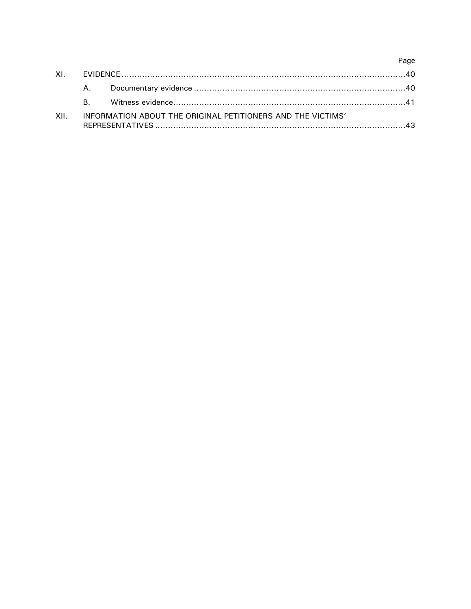|      |                                                             |  | Page |  |
|------|-------------------------------------------------------------|--|------|--|
|      |                                                             |  |      |  |
|      |                                                             |  |      |  |
|      | R –                                                         |  |      |  |
| XII. | INFORMATION ABOUT THE ORIGINAL PETITIONERS AND THE VICTIMS' |  |      |  |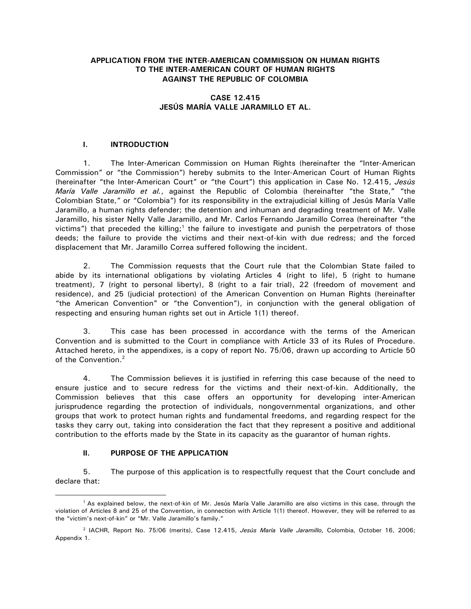## **APPLICATION FROM THE INTER-AMERICAN COMMISSION ON HUMAN RIGHTS TO THE INTER-AMERICAN COURT OF HUMAN RIGHTS AGAINST THE REPUBLIC OF COLOMBIA**

## **CASE 12.415 JESÚS MARÍA VALLE JARAMILLO ET AL.**

## **I. INTRODUCTION**

1. The Inter-American Commission on Human Rights (hereinafter the "Inter-American Commission" or "the Commission") hereby submits to the Inter-American Court of Human Rights (hereinafter "the Inter-American Court" or "the Court") this application in Case No. 12.415, *Jesús María Valle Jaramillo et al.*, against the Republic of Colombia (hereinafter "the State," "the Colombian State," or "Colombia") for its responsibility in the extrajudicial killing of Jesús María Valle Jaramillo, a human rights defender; the detention and inhuman and degrading treatment of Mr. Valle Jaramillo, his sister Nelly Valle Jaramillo, and Mr. Carlos Fernando Jaramillo Correa (hereinafter "the victims") that preceded the killing;<sup>1</sup> the failure to investigate and punish the perpetrators of those deeds; the failure to provide the victims and their next-of-kin with due redress; and the forced displacement that Mr. Jaramillo Correa suffered following the incident.

2. The Commission requests that the Court rule that the Colombian State failed to abide by its international obligations by violating Articles 4 (right to life), 5 (right to humane treatment), 7 (right to personal liberty), 8 (right to a fair trial), 22 (freedom of movement and residence), and 25 (judicial protection) of the American Convention on Human Rights (hereinafter "the American Convention" or "the Convention"), in conjunction with the general obligation of respecting and ensuring human rights set out in Article 1(1) thereof.

3. This case has been processed in accordance with the terms of the American Convention and is submitted to the Court in compliance with Article 33 of its Rules of Procedure. Attached hereto, in the appendixes, is a copy of report No. 75/06, drawn up according to Article 50 of the Convention.<sup>2</sup>

4. The Commission believes it is justified in referring this case because of the need to ensure justice and to secure redress for the victims and their next-of-kin. Additionally, the Commission believes that this case offers an opportunity for developing inter-American jurisprudence regarding the protection of individuals, nongovernmental organizations, and other groups that work to protect human rights and fundamental freedoms, and regarding respect for the tasks they carry out, taking into consideration the fact that they represent a positive and additional contribution to the efforts made by the State in its capacity as the guarantor of human rights.

## **II. PURPOSE OF THE APPLICATION**

 $\overline{a}$ 

5. The purpose of this application is to respectfully request that the Court conclude and declare that:

<sup>&</sup>lt;sup>1</sup> As explained below, the next-of-kin of Mr. Jesús María Valle Jaramillo are also victims in this case, through the violation of Articles 8 and 25 of the Convention, in connection with Article 1(1) thereof. However, they will be referred to as the "victim's next-of-kin" or "Mr. Valle Jaramillo's family."

<sup>2</sup> IACHR, Report No. 75/06 (merits), Case 12.415, *Jesús María Valle Jaramillo,* Colombia, October 16, 2006; Appendix 1.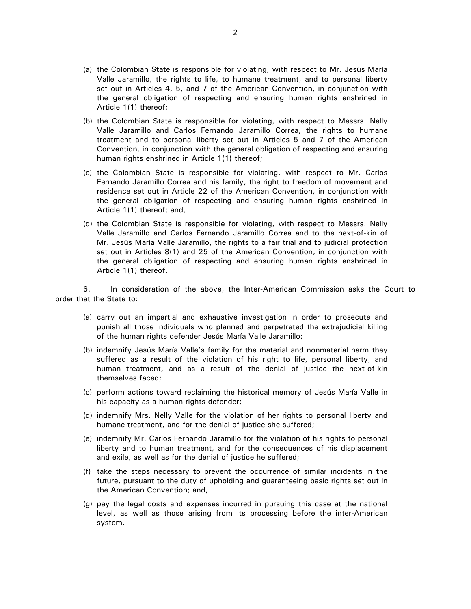- (a) the Colombian State is responsible for violating, with respect to Mr. Jesús María Valle Jaramillo, the rights to life, to humane treatment, and to personal liberty set out in Articles 4, 5, and 7 of the American Convention, in conjunction with the general obligation of respecting and ensuring human rights enshrined in Article 1(1) thereof;
- (b) the Colombian State is responsible for violating, with respect to Messrs. Nelly Valle Jaramillo and Carlos Fernando Jaramillo Correa, the rights to humane treatment and to personal liberty set out in Articles 5 and 7 of the American Convention, in conjunction with the general obligation of respecting and ensuring human rights enshrined in Article 1(1) thereof;
- (c) the Colombian State is responsible for violating, with respect to Mr. Carlos Fernando Jaramillo Correa and his family, the right to freedom of movement and residence set out in Article 22 of the American Convention, in conjunction with the general obligation of respecting and ensuring human rights enshrined in Article 1(1) thereof; and,
- (d) the Colombian State is responsible for violating, with respect to Messrs. Nelly Valle Jaramillo and Carlos Fernando Jaramillo Correa and to the next-of-kin of Mr. Jesús María Valle Jaramillo, the rights to a fair trial and to judicial protection set out in Articles 8(1) and 25 of the American Convention, in conjunction with the general obligation of respecting and ensuring human rights enshrined in Article 1(1) thereof.

6. In consideration of the above, the Inter-American Commission asks the Court to order that the State to:

- (a) carry out an impartial and exhaustive investigation in order to prosecute and punish all those individuals who planned and perpetrated the extrajudicial killing of the human rights defender Jesús María Valle Jaramillo;
- (b) indemnify Jesús María Valle's family for the material and nonmaterial harm they suffered as a result of the violation of his right to life, personal liberty, and human treatment, and as a result of the denial of justice the next-of-kin themselves faced;
- (c) perform actions toward reclaiming the historical memory of Jesús María Valle in his capacity as a human rights defender;
- (d) indemnify Mrs. Nelly Valle for the violation of her rights to personal liberty and humane treatment, and for the denial of justice she suffered;
- (e) indemnify Mr. Carlos Fernando Jaramillo for the violation of his rights to personal liberty and to human treatment, and for the consequences of his displacement and exile, as well as for the denial of justice he suffered;
- (f) take the steps necessary to prevent the occurrence of similar incidents in the future, pursuant to the duty of upholding and guaranteeing basic rights set out in the American Convention; and,
- (g) pay the legal costs and expenses incurred in pursuing this case at the national level, as well as those arising from its processing before the inter-American system.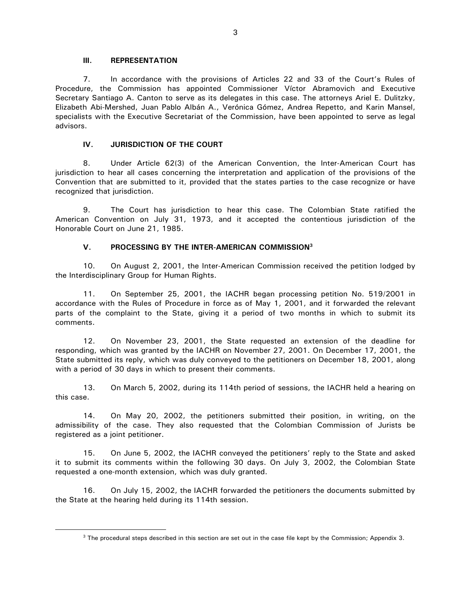#### **III. REPRESENTATION**

 $\overline{a}$ 

7. In accordance with the provisions of Articles 22 and 33 of the Court's Rules of Procedure, the Commission has appointed Commissioner Víctor Abramovich and Executive Secretary Santiago A. Canton to serve as its delegates in this case. The attorneys Ariel E. Dulitzky, Elizabeth Abi-Mershed, Juan Pablo Albán A., Verónica Gómez, Andrea Repetto, and Karin Mansel, specialists with the Executive Secretariat of the Commission, have been appointed to serve as legal advisors.

## **IV. JURISDICTION OF THE COURT**

8. Under Article 62(3) of the American Convention, the Inter-American Court has jurisdiction to hear all cases concerning the interpretation and application of the provisions of the Convention that are submitted to it, provided that the states parties to the case recognize or have recognized that jurisdiction.

9. The Court has jurisdiction to hear this case. The Colombian State ratified the American Convention on July 31, 1973, and it accepted the contentious jurisdiction of the Honorable Court on June 21, 1985.

## **V. PROCESSING BY THE INTER-AMERICAN COMMISSION<sup>3</sup>**

10. On August 2, 2001, the Inter-American Commission received the petition lodged by the Interdisciplinary Group for Human Rights.

11. On September 25, 2001, the IACHR began processing petition No. 519/2001 in accordance with the Rules of Procedure in force as of May 1, 2001, and it forwarded the relevant parts of the complaint to the State, giving it a period of two months in which to submit its comments.

12. On November 23, 2001, the State requested an extension of the deadline for responding, which was granted by the IACHR on November 27, 2001. On December 17, 2001, the State submitted its reply, which was duly conveyed to the petitioners on December 18, 2001, along with a period of 30 days in which to present their comments.

13. On March 5, 2002, during its 114th period of sessions, the IACHR held a hearing on this case.

14. On May 20, 2002, the petitioners submitted their position, in writing, on the admissibility of the case. They also requested that the Colombian Commission of Jurists be registered as a joint petitioner.

15. On June 5, 2002, the IACHR conveyed the petitioners' reply to the State and asked it to submit its comments within the following 30 days. On July 3, 2002, the Colombian State requested a one-month extension, which was duly granted.

16. On July 15, 2002, the IACHR forwarded the petitioners the documents submitted by the State at the hearing held during its 114th session.

<sup>&</sup>lt;sup>3</sup> The procedural steps described in this section are set out in the case file kept by the Commission; Appendix 3.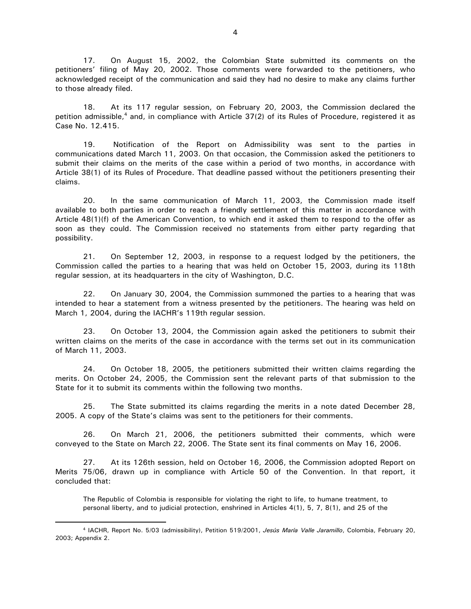17. On August 15, 2002, the Colombian State submitted its comments on the petitioners' filing of May 20, 2002. Those comments were forwarded to the petitioners, who acknowledged receipt of the communication and said they had no desire to make any claims further to those already filed.

18. At its 117 regular session, on February 20, 2003, the Commission declared the petition admissible,<sup>4</sup> and, in compliance with Article 37(2) of its Rules of Procedure, registered it as Case No. 12.415.

19. Notification of the Report on Admissibility was sent to the parties in communications dated March 11, 2003. On that occasion, the Commission asked the petitioners to submit their claims on the merits of the case within a period of two months, in accordance with Article 38(1) of its Rules of Procedure. That deadline passed without the petitioners presenting their claims.

20. In the same communication of March 11, 2003, the Commission made itself available to both parties in order to reach a friendly settlement of this matter in accordance with Article 48(1)(f) of the American Convention, to which end it asked them to respond to the offer as soon as they could. The Commission received no statements from either party regarding that possibility.

21. On September 12, 2003, in response to a request lodged by the petitioners, the Commission called the parties to a hearing that was held on October 15, 2003, during its 118th regular session, at its headquarters in the city of Washington, D.C.

22. On January 30, 2004, the Commission summoned the parties to a hearing that was intended to hear a statement from a witness presented by the petitioners. The hearing was held on March 1, 2004, during the IACHR's 119th regular session.

23. On October 13, 2004, the Commission again asked the petitioners to submit their written claims on the merits of the case in accordance with the terms set out in its communication of March 11, 2003.

24. On October 18, 2005, the petitioners submitted their written claims regarding the merits. On October 24, 2005, the Commission sent the relevant parts of that submission to the State for it to submit its comments within the following two months.

25. The State submitted its claims regarding the merits in a note dated December 28, 2005. A copy of the State's claims was sent to the petitioners for their comments.

26. On March 21, 2006, the petitioners submitted their comments, which were conveyed to the State on March 22, 2006. The State sent its final comments on May 16, 2006.

27. At its 126th session, held on October 16, 2006, the Commission adopted Report on Merits 75/06, drawn up in compliance with Article 50 of the Convention. In that report, it concluded that:

The Republic of Colombia is responsible for violating the right to life, to humane treatment, to personal liberty, and to judicial protection, enshrined in Articles 4(1), 5, 7, 8(1), and 25 of the

<sup>4</sup> IACHR, Report No. 5/03 (admissibility), Petition 519/2001, *Jesús María Valle Jaramillo*, Colombia, February 20, 2003; Appendix 2.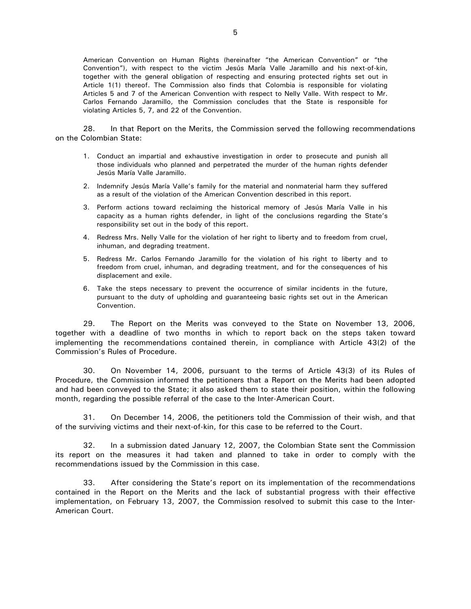American Convention on Human Rights (hereinafter "the American Convention" or "the Convention"), with respect to the victim Jesús María Valle Jaramillo and his next-of-kin, together with the general obligation of respecting and ensuring protected rights set out in Article 1(1) thereof. The Commission also finds that Colombia is responsible for violating Articles 5 and 7 of the American Convention with respect to Nelly Valle. With respect to Mr. Carlos Fernando Jaramillo, the Commission concludes that the State is responsible for violating Articles 5, 7, and 22 of the Convention.

28. In that Report on the Merits, the Commission served the following recommendations on the Colombian State:

- 1. Conduct an impartial and exhaustive investigation in order to prosecute and punish all those individuals who planned and perpetrated the murder of the human rights defender Jesús María Valle Jaramillo.
- 2. Indemnify Jesús María Valle's family for the material and nonmaterial harm they suffered as a result of the violation of the American Convention described in this report.
- 3. Perform actions toward reclaiming the historical memory of Jesús María Valle in his capacity as a human rights defender, in light of the conclusions regarding the State's responsibility set out in the body of this report.
- 4. Redress Mrs. Nelly Valle for the violation of her right to liberty and to freedom from cruel, inhuman, and degrading treatment.
- 5. Redress Mr. Carlos Fernando Jaramillo for the violation of his right to liberty and to freedom from cruel, inhuman, and degrading treatment, and for the consequences of his displacement and exile.
- 6. Take the steps necessary to prevent the occurrence of similar incidents in the future, pursuant to the duty of upholding and guaranteeing basic rights set out in the American Convention.

29. The Report on the Merits was conveyed to the State on November 13, 2006, together with a deadline of two months in which to report back on the steps taken toward implementing the recommendations contained therein, in compliance with Article 43(2) of the Commission's Rules of Procedure.

30. On November 14, 2006, pursuant to the terms of Article 43(3) of its Rules of Procedure, the Commission informed the petitioners that a Report on the Merits had been adopted and had been conveyed to the State; it also asked them to state their position, within the following month, regarding the possible referral of the case to the Inter-American Court.

31. On December 14, 2006, the petitioners told the Commission of their wish, and that of the surviving victims and their next-of-kin, for this case to be referred to the Court.

32. In a submission dated January 12, 2007, the Colombian State sent the Commission its report on the measures it had taken and planned to take in order to comply with the recommendations issued by the Commission in this case.

33. After considering the State's report on its implementation of the recommendations contained in the Report on the Merits and the lack of substantial progress with their effective implementation, on February 13, 2007, the Commission resolved to submit this case to the Inter-American Court.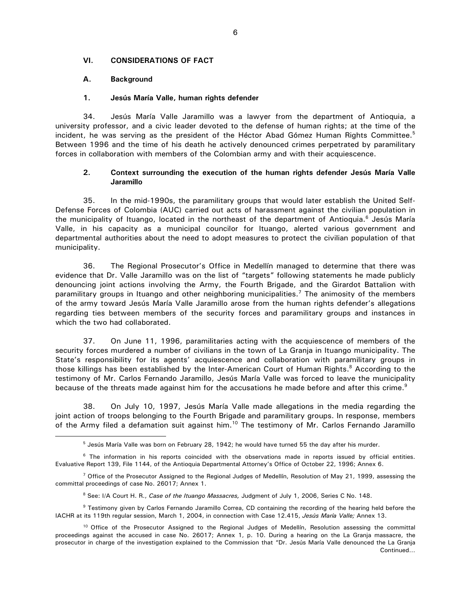#### **VI. CONSIDERATIONS OF FACT**

#### **A. Background**

#### **1. Jesús María Valle, human rights defender**

34. Jesús María Valle Jaramillo was a lawyer from the department of Antioquia, a university professor, and a civic leader devoted to the defense of human rights; at the time of the incident, he was serving as the president of the Héctor Abad Gómez Human Rights Committee.<sup>5</sup> Between 1996 and the time of his death he actively denounced crimes perpetrated by paramilitary forces in collaboration with members of the Colombian army and with their acquiescence.

### **2. Context surrounding the execution of the human rights defender Jesús María Valle Jaramillo**

35. In the mid-1990s, the paramilitary groups that would later establish the United Self-Defense Forces of Colombia (AUC) carried out acts of harassment against the civilian population in the municipality of Ituango, located in the northeast of the department of Antioquia.<sup>6</sup> Jesús María Valle, in his capacity as a municipal councilor for Ituango, alerted various government and departmental authorities about the need to adopt measures to protect the civilian population of that municipality.

36. The Regional Prosecutor's Office in Medellín managed to determine that there was evidence that Dr. Valle Jaramillo was on the list of "targets" following statements he made publicly denouncing joint actions involving the Army, the Fourth Brigade, and the Girardot Battalion with paramilitary groups in Ituango and other neighboring municipalities.<sup>7</sup> The animosity of the members of the army toward Jesús María Valle Jaramillo arose from the human rights defender's allegations regarding ties between members of the security forces and paramilitary groups and instances in which the two had collaborated.

37. On June 11, 1996, paramilitaries acting with the acquiescence of members of the security forces murdered a number of civilians in the town of La Granja in Ituango municipality. The State's responsibility for its agents' acquiescence and collaboration with paramilitary groups in those killings has been established by the Inter-American Court of Human Rights.<sup>8</sup> According to the testimony of Mr. Carlos Fernando Jaramillo, Jesús María Valle was forced to leave the municipality because of the threats made against him for the accusations he made before and after this crime.<sup>9</sup>

38. On July 10, 1997, Jesús María Valle made allegations in the media regarding the joint action of troops belonging to the Fourth Brigade and paramilitary groups. In response, members of the Army filed a defamation suit against him.<sup>10</sup> The testimony of Mr. Carlos Fernando Jaramillo  $\overline{a}$ 

<sup>5</sup> Jesús María Valle was born on February 28, 1942; he would have turned 55 the day after his murder.

<sup>&</sup>lt;sup>6</sup> The information in his reports coincided with the observations made in reports issued by official entities. Evaluative Report 139, File 1144, of the Antioquia Departmental Attorney's Office of October 22, 1996; Annex 6.

<sup>&</sup>lt;sup>7</sup> Office of the Prosecutor Assigned to the Regional Judges of Medellín, Resolution of May 21, 1999, assessing the committal proceedings of case No. 26017; Annex 1.

<sup>8</sup> See: I/A Court H. R., *Case of the Ituango Massacres,* Judgment of July 1, 2006, Series C No. 148.

<sup>&</sup>lt;sup>9</sup> Testimony given by Carlos Fernando Jaramillo Correa, CD containing the recording of the hearing held before the IACHR at its 119th regular session, March 1, 2004, in connection with Case 12.415, *Jesús María Valle;* Annex 13.

<sup>&</sup>lt;sup>10</sup> Office of the Prosecutor Assigned to the Regional Judges of Medellín, Resolution assessing the committal proceedings against the accused in case No. 26017; Annex 1, p. 10. During a hearing on the La Granja massacre, the prosecutor in charge of the investigation explained to the Commission that "Dr. Jesús María Valle denounced the La Granja Continued…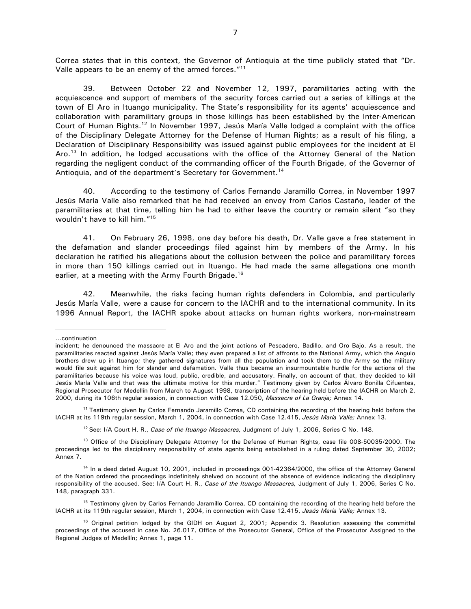Correa states that in this context, the Governor of Antioquia at the time publicly stated that "Dr. Valle appears to be an enemy of the armed forces."<sup>11</sup>

39. Between October 22 and November 12, 1997, paramilitaries acting with the acquiescence and support of members of the security forces carried out a series of killings at the town of El Aro in Ituango municipality. The State's responsibility for its agents' acquiescence and collaboration with paramilitary groups in those killings has been established by the Inter-American Court of Human Rights.<sup>12</sup> In November 1997, Jesús María Valle lodged a complaint with the office of the Disciplinary Delegate Attorney for the Defense of Human Rights; as a result of his filing, a Declaration of Disciplinary Responsibility was issued against public employees for the incident at El Aro.<sup>13</sup> In addition, he lodged accusations with the office of the Attorney General of the Nation regarding the negligent conduct of the commanding officer of the Fourth Brigade, of the Governor of Antioquia, and of the department's Secretary for Government.<sup>14</sup>

40. According to the testimony of Carlos Fernando Jaramillo Correa, in November 1997 Jesús María Valle also remarked that he had received an envoy from Carlos Castaño, leader of the paramilitaries at that time, telling him he had to either leave the country or remain silent "so they wouldn't have to kill him."<sup>15</sup>

41. On February 26, 1998, one day before his death, Dr. Valle gave a free statement in the defamation and slander proceedings filed against him by members of the Army. In his declaration he ratified his allegations about the collusion between the police and paramilitary forces in more than 150 killings carried out in Ituango. He had made the same allegations one month earlier, at a meeting with the Army Fourth Brigade.<sup>16</sup>

42. Meanwhile, the risks facing human rights defenders in Colombia, and particularly Jesús María Valle, were a cause for concern to the IACHR and to the international community. In its 1996 Annual Report, the IACHR spoke about attacks on human rights workers, non-mainstream

 $\overline{a}$ 

<sup>11</sup> Testimony given by Carlos Fernando Jaramillo Correa, CD containing the recording of the hearing held before the IACHR at its 119th regular session, March 1, 2004, in connection with Case 12.415, *Jesús María Valle;* Annex 13.

<sup>12</sup> See: I/A Court H. R., *Case of the Ituango Massacres*, Judgment of July 1, 2006, Series C No. 148.

<sup>13</sup> Office of the Disciplinary Delegate Attorney for the Defense of Human Rights, case file 008-50035/2000. The proceedings led to the disciplinary responsibility of state agents being established in a ruling dated September 30, 2002; Annex 7.

<sup>14</sup> In a deed dated August 10, 2001, included in proceedings 001-42364/2000, the office of the Attorney General of the Nation ordered the proceedings indefinitely shelved on account of the absence of evidence indicating the disciplinary responsibility of the accused. See: I/A Court H. R., *Case of the Ituango Massacres,* Judgment of July 1, 2006, Series C No. 148, paragraph 331.

<sup>15</sup> Testimony given by Carlos Fernando Jaramillo Correa, CD containing the recording of the hearing held before the IACHR at its 119th regular session, March 1, 2004, in connection with Case 12.415, *Jesús María Valle;* Annex 13.

<sup>16</sup> Original petition lodged by the GIDH on August 2, 2001; Appendix 3. Resolution assessing the committal proceedings of the accused in case No. 26.017, Office of the Prosecutor General, Office of the Prosecutor Assigned to the Regional Judges of Medellín; Annex 1, page 11.

<sup>…</sup>continuation

incident; he denounced the massacre at El Aro and the joint actions of Pescadero, Badillo, and Oro Bajo. As a result, the paramilitaries reacted against Jesús María Valle; they even prepared a list of affronts to the National Army, which the Angulo brothers drew up in Ituango; they gathered signatures from all the population and took them to the Army so the military would file suit against him for slander and defamation. Valle thus became an insurmountable hurdle for the actions of the paramilitaries because his voice was loud, public, credible, and accusatory. Finally, on account of that, they decided to kill Jesús María Valle and that was the ultimate motive for this murder." Testimony given by Carlos Álvaro Bonilla Cifuentes, Regional Prosecutor for Medellín from March to August 1998, transcription of the hearing held before the IACHR on March 2, 2000, during its 106th regular session, in connection with Case 12.050, *Massacre of La Granja;* Annex 14.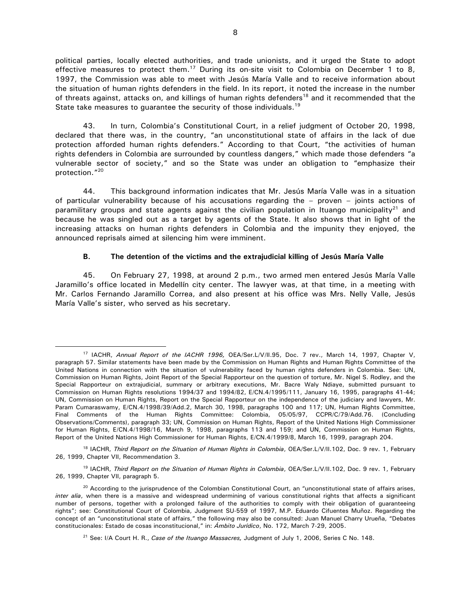political parties, locally elected authorities, and trade unionists, and it urged the State to adopt effective measures to protect them.<sup>17</sup> During its on-site visit to Colombia on December 1 to 8, 1997, the Commission was able to meet with Jesús María Valle and to receive information about the situation of human rights defenders in the field. In its report, it noted the increase in the number of threats against, attacks on, and killings of human rights defenders<sup>18</sup> and it recommended that the State take measures to quarantee the security of those individuals.<sup>19</sup>

43. In turn, Colombia's Constitutional Court, in a relief judgment of October 20, 1998, declared that there was, in the country, "an unconstitutional state of affairs in the lack of due protection afforded human rights defenders." According to that Court, "the activities of human rights defenders in Colombia are surrounded by countless dangers," which made those defenders "a vulnerable sector of society," and so the State was under an obligation to "emphasize their protection."<sup>20</sup>

44. This background information indicates that Mr. Jesús María Valle was in a situation of particular vulnerability because of his accusations regarding the – proven – joints actions of paramilitary groups and state agents against the civilian population in Ituango municipality<sup>21</sup> and because he was singled out as a target by agents of the State. It also shows that in light of the increasing attacks on human rights defenders in Colombia and the impunity they enjoyed, the announced reprisals aimed at silencing him were imminent.

#### **B. The detention of the victims and the extrajudicial killing of Jesús María Valle**

45. On February 27, 1998, at around 2 p.m., two armed men entered Jesús María Valle Jaramillo's office located in Medellín city center. The lawyer was, at that time, in a meeting with Mr. Carlos Fernando Jaramillo Correa, and also present at his office was Mrs. Nelly Valle, Jesús María Valle's sister, who served as his secretary.

<sup>17</sup> IACHR, *Annual Report of the IACHR 1996,* OEA/Ser.L/V/II.95, Doc. 7 rev., March 14, 1997, Chapter V, paragraph 57. Similar statements have been made by the Commission on Human Rights and Human Rights Committee of the United Nations in connection with the situation of vulnerability faced by human rights defenders in Colombia. See: UN, Commission on Human Rights, Joint Report of the Special Rapporteur on the question of torture, Mr. Nigel S. Rodley, and the Special Rapporteur on extrajudicial, summary or arbitrary executions, Mr. Bacre Waly Ndiaye, submitted pursuant to Commission on Human Rights resolutions 1994/37 and 1994/82, E/CN.4/1995/111, January 16, 1995, paragraphs 41-44; UN, Commission on Human Rights, Report on the Special Rapporteur on the independence of the judiciary and lawyers, Mr. Param Cumaraswamy, E/CN.4/1998/39/Add.2, March 30, 1998, paragraphs 100 and 117; UN, Human Rights Committee, Final Comments of the Human Rights Committee: Colombia, 05/05/97, CCPR/C/79/Add.76. (Concluding Observations/Comments), paragraph 33; UN, Commission on Human Rights, Report of the United Nations High Commissioner for Human Rights, E/CN.4/1998/16, March 9, 1998, paragraphs 113 and 159; and UN, Commission on Human Rights, Report of the United Nations High Commissioner for Human Rights, E/CN.4/1999/8, March 16, 1999, paragraph 204.

<sup>18</sup> IACHR, *Third Report on the Situation of Human Rights in Colombia*, OEA/Ser.L/V/II.102, Doc. 9 rev. 1, February 26, 1999, Chapter VII, Recommendation 3.

<sup>19</sup> IACHR, *Third Report on the Situation of Human Rights in Colombia*, OEA/Ser.L/V/II.102, Doc. 9 rev. 1, February 26, 1999, Chapter VII, paragraph 5.

 $20$  According to the jurisprudence of the Colombian Constitutional Court, an "unconstitutional state of affairs arises, *inter alia*, when there is a massive and widespread undermining of various constitutional rights that affects a significant number of persons, together with a prolonged failure of the authorities to comply with their obligation of guaranteeing rights"; see: Constitutional Court of Colombia, Judgment SU-559 of 1997, M.P. Eduardo Cifuentes Muñoz. Regarding the concept of an "unconstitutional state of affairs," the following may also be consulted: Juan Manuel Charry Urueña, "Debates constitucionales: Estado de cosas inconstitucional," in: *Ámbito Jurídico*, No. 172, March 7-29, 2005.

<sup>21</sup> See: I/A Court H. R., *Case of the Ituango Massacres,* Judgment of July 1, 2006, Series C No. 148.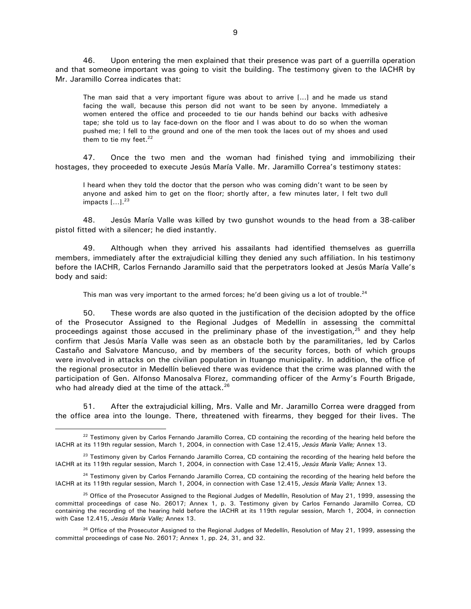46. Upon entering the men explained that their presence was part of a guerrilla operation and that someone important was going to visit the building. The testimony given to the IACHR by Mr. Jaramillo Correa indicates that:

The man said that a very important figure was about to arrive [...] and he made us stand facing the wall, because this person did not want to be seen by anyone. Immediately a women entered the office and proceeded to tie our hands behind our backs with adhesive tape; she told us to lay face-down on the floor and I was about to do so when the woman pushed me; I fell to the ground and one of the men took the laces out of my shoes and used them to tie my feet. $22$ 

47. Once the two men and the woman had finished tying and immobilizing their hostages, they proceeded to execute Jesús María Valle. Mr. Jaramillo Correa's testimony states:

I heard when they told the doctor that the person who was coming didn't want to be seen by anyone and asked him to get on the floor; shortly after, a few minutes later, I felt two dull impacts  $[...]^{23}$ 

48. Jesús María Valle was killed by two gunshot wounds to the head from a 38-caliber pistol fitted with a silencer; he died instantly.

49. Although when they arrived his assailants had identified themselves as guerrilla members, immediately after the extrajudicial killing they denied any such affiliation. In his testimony before the IACHR, Carlos Fernando Jaramillo said that the perpetrators looked at Jesús María Valle's body and said:

This man was very important to the armed forces; he'd been giving us a lot of trouble.<sup>24</sup>

50. These words are also quoted in the justification of the decision adopted by the office of the Prosecutor Assigned to the Regional Judges of Medellín in assessing the committal proceedings against those accused in the preliminary phase of the investigation, $^{25}$  and they help confirm that Jesús María Valle was seen as an obstacle both by the paramilitaries, led by Carlos Castaño and Salvatore Mancuso, and by members of the security forces, both of which groups were involved in attacks on the civilian population in Ituango municipality. In addition, the office of the regional prosecutor in Medellín believed there was evidence that the crime was planned with the participation of Gen. Alfonso Manosalva Florez, commanding officer of the Army's Fourth Brigade, who had already died at the time of the attack. $26$ 

51. After the extrajudicial killing, Mrs. Valle and Mr. Jaramillo Correa were dragged from the office area into the lounge. There, threatened with firearms, they begged for their lives. The

 $22$  Testimony given by Carlos Fernando Jaramillo Correa, CD containing the recording of the hearing held before the IACHR at its 119th regular session, March 1, 2004, in connection with Case 12.415, *Jesús María Valle;* Annex 13.

<sup>&</sup>lt;sup>23</sup> Testimony given by Carlos Fernando Jaramillo Correa, CD containing the recording of the hearing held before the IACHR at its 119th regular session, March 1, 2004, in connection with Case 12.415, *Jesús María Valle;* Annex 13.

<sup>&</sup>lt;sup>24</sup> Testimony given by Carlos Fernando Jaramillo Correa, CD containing the recording of the hearing held before the IACHR at its 119th regular session, March 1, 2004, in connection with Case 12.415, *Jesús María Valle;* Annex 13.

<sup>&</sup>lt;sup>25</sup> Office of the Prosecutor Assigned to the Regional Judges of Medellín, Resolution of May 21, 1999, assessing the committal proceedings of case No. 26017; Annex 1, p. 3. Testimony given by Carlos Fernando Jaramillo Correa, CD containing the recording of the hearing held before the IACHR at its 119th regular session, March 1, 2004, in connection with Case 12.415, *Jesús María Valle;* Annex 13.

<sup>&</sup>lt;sup>26</sup> Office of the Prosecutor Assigned to the Regional Judges of Medellín, Resolution of May 21, 1999, assessing the committal proceedings of case No. 26017; Annex 1, pp. 24, 31, and 32.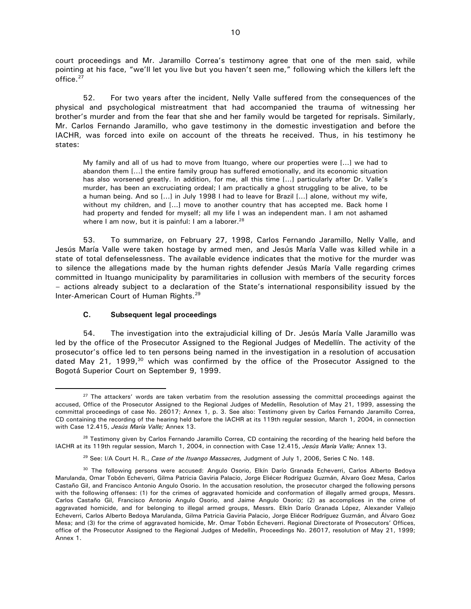court proceedings and Mr. Jaramillo Correa's testimony agree that one of the men said, while pointing at his face, "we'll let you live but you haven't seen me," following which the killers left the office.<sup>27</sup>

52. For two years after the incident, Nelly Valle suffered from the consequences of the physical and psychological mistreatment that had accompanied the trauma of witnessing her brother's murder and from the fear that she and her family would be targeted for reprisals. Similarly, Mr. Carlos Fernando Jaramillo, who gave testimony in the domestic investigation and before the IACHR, was forced into exile on account of the threats he received. Thus, in his testimony he states:

My family and all of us had to move from Ituango, where our properties were [...] we had to abandon them [...] the entire family group has suffered emotionally, and its economic situation has also worsened greatly. In addition, for me, all this time [...] particularly after Dr. Valle's murder, has been an excruciating ordeal; I am practically a ghost struggling to be alive, to be a human being. And so [...] in July 1998 I had to leave for Brazil [...] alone, without my wife, without my children, and [...] move to another country that has accepted me. Back home I had property and fended for myself; all my life I was an independent man. I am not ashamed where I am now, but it is painful: I am a laborer. $^{28}$ 

53. To summarize, on February 27, 1998, Carlos Fernando Jaramillo, Nelly Valle, and Jesús María Valle were taken hostage by armed men, and Jesús María Valle was killed while in a state of total defenselessness. The available evidence indicates that the motive for the murder was to silence the allegations made by the human rights defender Jesús María Valle regarding crimes committed in Ituango municipality by paramilitaries in collusion with members of the security forces – actions already subject to a declaration of the State's international responsibility issued by the Inter-American Court of Human Rights.<sup>29</sup>

## **C. Subsequent legal proceedings**

 $\overline{a}$ 

54. The investigation into the extrajudicial killing of Dr. Jesús María Valle Jaramillo was led by the office of the Prosecutor Assigned to the Regional Judges of Medellín. The activity of the prosecutor's office led to ten persons being named in the investigation in a resolution of accusation dated May 21, 1999, $30$  which was confirmed by the office of the Prosecutor Assigned to the Bogotá Superior Court on September 9, 1999.

 $27$  The attackers' words are taken verbatim from the resolution assessing the committal proceedings against the accused, Office of the Prosecutor Assigned to the Regional Judges of Medellín, Resolution of May 21, 1999, assessing the committal proceedings of case No. 26017; Annex 1, p. 3. See also: Testimony given by Carlos Fernando Jaramillo Correa, CD containing the recording of the hearing held before the IACHR at its 119th regular session, March 1, 2004, in connection with Case 12.415, *Jesús María Valle;* Annex 13.

 $28$  Testimony given by Carlos Fernando Jaramillo Correa, CD containing the recording of the hearing held before the IACHR at its 119th regular session, March 1, 2004, in connection with Case 12.415, *Jesús María Valle;* Annex 13.

<sup>29</sup> See: I/A Court H. R., *Case of the Ituango Massacres,* Judgment of July 1, 2006, Series C No. 148.

<sup>&</sup>lt;sup>30</sup> The following persons were accused: Angulo Osorio, Elkín Darío Granada Echeverri, Carlos Alberto Bedoya Marulanda, Omar Tobón Echeverri, Gilma Patricia Gaviria Palacio, Jorge Eliécer Rodríguez Guzmán, Alvaro Goez Mesa, Carlos Castaño Gil, and Francisco Antonio Angulo Osorio. In the accusation resolution, the prosecutor charged the following persons with the following offenses: (1) for the crimes of aggravated homicide and conformation of illegally armed groups, Messrs. Carlos Castaño Gil, Francisco Antonio Angulo Osorio, and Jaime Angulo Osorio; (2) as accomplices in the crime of aggravated homicide, and for belonging to illegal armed groups, Messrs. Elkín Darío Granada López, Alexander Vallejo Echeverri, Carlos Alberto Bedoya Marulanda, Gilma Patricia Gaviria Palacio, Jorge Eliécer Rodríguez Guzmán, and Álvaro Goez Mesa; and (3) for the crime of aggravated homicide, Mr. Omar Tobón Echeverri. Regional Directorate of Prosecutors' Offices, office of the Prosecutor Assigned to the Regional Judges of Medellín, Proceedings No. 26017, resolution of May 21, 1999; Annex 1.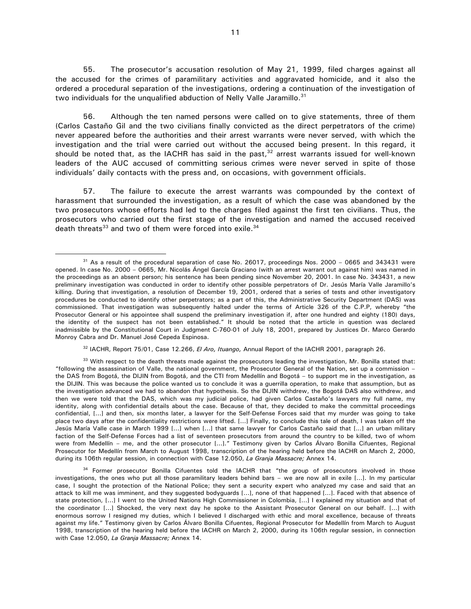55. The prosecutor's accusation resolution of May 21, 1999, filed charges against all the accused for the crimes of paramilitary activities and aggravated homicide, and it also the ordered a procedural separation of the investigations, ordering a continuation of the investigation of two individuals for the unqualified abduction of Nelly Valle Jaramillo.<sup>31</sup>

56. Although the ten named persons were called on to give statements, three of them (Carlos Castaño Gil and the two civilians finally convicted as the direct perpetrators of the crime) never appeared before the authorities and their arrest warrants were never served, with which the investigation and the trial were carried out without the accused being present. In this regard, it should be noted that, as the IACHR has said in the past,  $32$  arrest warrants issued for well-known leaders of the AUC accused of committing serious crimes were never served in spite of those individuals' daily contacts with the press and, on occasions, with government officials.

57. The failure to execute the arrest warrants was compounded by the context of harassment that surrounded the investigation, as a result of which the case was abandoned by the two prosecutors whose efforts had led to the charges filed against the first ten civilians. Thus, the prosecutors who carried out the first stage of the investigation and named the accused received death threats $33$  and two of them were forced into exile. $34$ 

 $\overline{a}$ 

<sup>32</sup> IACHR, Report 75/01, Case 12.266, *El Aro, Ituango,* Annual Report of the IACHR 2001, paragraph 26.

 $31$  As a result of the procedural separation of case No. 26017, proceedings Nos. 2000 – 0665 and 343431 were opened. In case No. 2000 – 0665, Mr. Nicolás Ángel García Graciano (with an arrest warrant out against him) was named in the proceedings as an absent person; his sentence has been pending since November 20, 2001. In case No. 343431, a new preliminary investigation was conducted in order to identify other possible perpetrators of Dr. Jesús María Valle Jaramillo's killing. During that investigation, a resolution of December 19, 2001, ordered that a series of tests and other investigatory procedures be conducted to identify other perpetrators; as a part of this, the Administrative Security Department (DAS) was commissioned. That investigation was subsequently halted under the terms of Article 326 of the C.P.P, whereby "the Prosecutor General or his appointee shall suspend the preliminary investigation if, after one hundred and eighty (180) days, the identity of the suspect has not been established." It should be noted that the article in question was declared inadmissible by the Constitutional Court in Judgment C-760-01 of July 18, 2001, prepared by Justices Dr. Marco Gerardo Monroy Cabra and Dr. Manuel José Cepeda Espinosa.

 $33$  With respect to the death threats made against the prosecutors leading the investigation, Mr. Bonilla stated that: "following the assassination of Valle, the national government, the Prosecutor General of the Nation, set up a commission – the DAS from Bogotá, the DIJIN from Bogotá, and the CTI from Medellín and Bogotá – to support me in the investigation, as the DIJIN. This was because the police wanted us to conclude it was a guerrilla operation, to make that assumption, but as the investigation advanced we had to abandon that hypothesis. So the DIJIN withdrew, the Bogotá DAS also withdrew, and then we were told that the DAS, which was my judicial police, had given Carlos Castaño's lawyers my full name, my identity, along with confidential details about the case. Because of that, they decided to make the committal proceedings confidential, [...] and then, six months later, a lawyer for the Self-Defense Forces said that my murder was going to take place two days after the confidentiality restrictions were lifted. [...] Finally, to conclude this tale of death, I was taken off the Jesús María Valle case in March 1999 [...] when [...] that same lawyer for Carlos Castaño said that [...] an urban military faction of the Self-Defense Forces had a list of seventeen prosecutors from around the country to be killed, two of whom were from Medellín – me, and the other prosecutor [...]." Testimony given by Carlos Álvaro Bonilla Cifuentes, Regional Prosecutor for Medellín from March to August 1998, transcription of the hearing held before the IACHR on March 2, 2000, during its 106th regular session, in connection with Case 12.050, *La Granja Massacre;* Annex 14.

<sup>&</sup>lt;sup>34</sup> Former prosecutor Bonilla Cifuentes told the IACHR that "the group of prosecutors involved in those investigations, the ones who put all those paramilitary leaders behind bars – we are now all in exile [...]. In my particular case, I sought the protection of the National Police; they sent a security expert who analyzed my case and said that an attack to kill me was imminent, and they suggested bodyguards [...], none of that happened [...]. Faced with that absence of state protection, [...] I went to the United Nations High Commissioner in Colombia, [...] I explained my situation and that of the coordinator [...] Shocked, the very next day he spoke to the Assistant Prosecutor General on our behalf. [...] with enormous sorrow I resigned my duties, which I believed I discharged with ethic and moral excellence, because of threats against my life." Testimony given by Carlos Álvaro Bonilla Cifuentes, Regional Prosecutor for Medellín from March to August 1998, transcription of the hearing held before the IACHR on March 2, 2000, during its 106th regular session, in connection with Case 12.050, *La Granja Massacre;* Annex 14.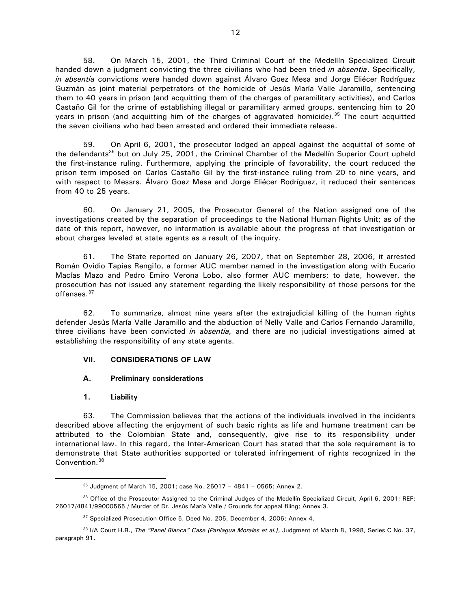58. On March 15, 2001, the Third Criminal Court of the Medellín Specialized Circuit handed down a judgment convicting the three civilians who had been tried *in absentia*. Specifically, *in absentia* convictions were handed down against Álvaro Goez Mesa and Jorge Eliécer Rodríguez Guzmán as joint material perpetrators of the homicide of Jesús María Valle Jaramillo, sentencing them to 40 years in prison (and acquitting them of the charges of paramilitary activities), and Carlos Castaño Gil for the crime of establishing illegal or paramilitary armed groups, sentencing him to 20 years in prison (and acquitting him of the charges of aggravated homicide).<sup>35</sup> The court acquitted the seven civilians who had been arrested and ordered their immediate release.

59. On April 6, 2001, the prosecutor lodged an appeal against the acquittal of some of the defendants<sup>36</sup> but on July 25, 2001, the Criminal Chamber of the Medellín Superior Court upheld the first-instance ruling. Furthermore, applying the principle of favorability, the court reduced the prison term imposed on Carlos Castaño Gil by the first-instance ruling from 20 to nine years, and with respect to Messrs. Álvaro Goez Mesa and Jorge Eliécer Rodríguez, it reduced their sentences from 40 to 25 years.

60. On January 21, 2005, the Prosecutor General of the Nation assigned one of the investigations created by the separation of proceedings to the National Human Rights Unit; as of the date of this report, however, no information is available about the progress of that investigation or about charges leveled at state agents as a result of the inquiry.

61. The State reported on January 26, 2007, that on September 28, 2006, it arrested Román Ovidio Tapias Rengifo, a former AUC member named in the investigation along with Eucario Macías Mazo and Pedro Emiro Verona Lobo, also former AUC members; to date, however, the prosecution has not issued any statement regarding the likely responsibility of those persons for the offenses.<sup>37</sup>

62. To summarize, almost nine years after the extrajudicial killing of the human rights defender Jesús María Valle Jaramillo and the abduction of Nelly Valle and Carlos Fernando Jaramillo, three civilians have been convicted *in absentia,* and there are no judicial investigations aimed at establishing the responsibility of any state agents.

## **VII. CONSIDERATIONS OF LAW**

## **A. Preliminary considerations**

## **1. Liability**

 $\overline{a}$ 

63. The Commission believes that the actions of the individuals involved in the incidents described above affecting the enjoyment of such basic rights as life and humane treatment can be attributed to the Colombian State and, consequently, give rise to its responsibility under international law. In this regard, the Inter-American Court has stated that the sole requirement is to demonstrate that State authorities supported or tolerated infringement of rights recognized in the Convention.<sup>38</sup>

<sup>35</sup> Judgment of March 15, 2001; case No. 26017 – 4841 – 0565; Annex 2.

<sup>36</sup> Office of the Prosecutor Assigned to the Criminal Judges of the Medellín Specialized Circuit, April 6, 2001; REF: 26017/4841/99000565 / Murder of Dr. Jesús María Valle / Grounds for appeal filing; Annex 3.

<sup>&</sup>lt;sup>37</sup> Specialized Prosecution Office 5, Deed No. 205, December 4, 2006; Annex 4.

<sup>38</sup> I/A Court H.R., *The "Panel Blanca" Case (Paniagua Morales et al.)*, Judgment of March 8, 1998, Series C No. 37, paragraph 91.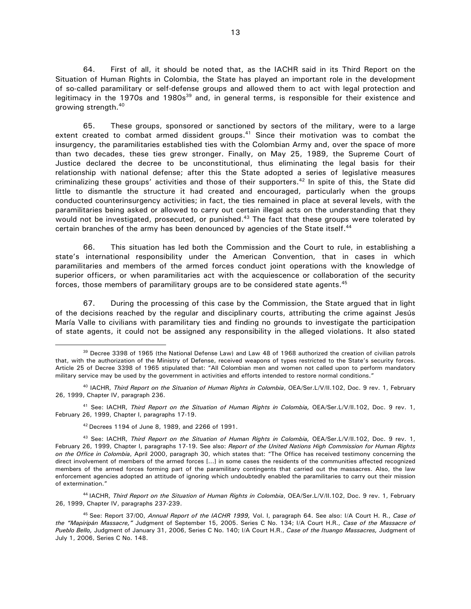64. First of all, it should be noted that, as the IACHR said in its Third Report on the Situation of Human Rights in Colombia, the State has played an important role in the development of so-called paramilitary or self-defense groups and allowed them to act with legal protection and legitimacy in the 1970s and 1980s<sup>39</sup> and, in general terms, is responsible for their existence and growing strength.<sup>40</sup>

65. These groups, sponsored or sanctioned by sectors of the military, were to a large extent created to combat armed dissident groups. $41$  Since their motivation was to combat the insurgency, the paramilitaries established ties with the Colombian Army and, over the space of more than two decades, these ties grew stronger. Finally, on May 25, 1989, the Supreme Court of Justice declared the decree to be unconstitutional, thus eliminating the legal basis for their relationship with national defense; after this the State adopted a series of legislative measures criminalizing these groups' activities and those of their supporters.<sup>42</sup> In spite of this, the State did little to dismantle the structure it had created and encouraged, particularly when the groups conducted counterinsurgency activities; in fact, the ties remained in place at several levels, with the paramilitaries being asked or allowed to carry out certain illegal acts on the understanding that they would not be investigated, prosecuted, or punished.<sup>43</sup> The fact that these groups were tolerated by certain branches of the army has been denounced by agencies of the State itself.<sup>44</sup>

66. This situation has led both the Commission and the Court to rule, in establishing a state's international responsibility under the American Convention, that in cases in which paramilitaries and members of the armed forces conduct joint operations with the knowledge of superior officers, or when paramilitaries act with the acquiescence or collaboration of the security forces, those members of paramilitary groups are to be considered state agents. $45$ 

67. During the processing of this case by the Commission, the State argued that in light of the decisions reached by the regular and disciplinary courts, attributing the crime against Jesús María Valle to civilians with paramilitary ties and finding no grounds to investigate the participation of state agents, it could not be assigned any responsibility in the alleged violations. It also stated

<sup>41</sup> See: IACHR, *Third Report on the Situation of Human Rights in Colombia,* OEA/Ser.L/V/II.102, Doc. 9 rev. 1, February 26, 1999, Chapter I, paragraphs 17-19.

<sup>42</sup>Decrees 1194 of June 8, 1989, and 2266 of 1991.

 $\overline{a}$ 

<sup>44</sup>IACHR, *Third Report on the Situation of Human Rights in Colombia*, OEA/Ser.L/V/II.102, Doc. 9 rev. 1, February 26, 1999, Chapter IV, paragraphs 237-239.

<sup>45</sup>See: Report 37/00, *Annual Report of the IACHR 1999,* Vol. I, paragraph 64. See also: I/A Court H. R., *Case of the "Mapiripán Massacre,"* Judgment of September 15, 2005. Series C No. 134; I/A Court H.R., *Case of the Massacre of Pueblo Bello,* Judgment of January 31, 2006, Series C No. 140; I/A Court H.R., *Case of the Ituango Massacres,* Judgment of July 1, 2006, Series C No. 148.

<sup>&</sup>lt;sup>39</sup> Decree 3398 of 1965 (the National Defense Law) and Law 48 of 1968 authorized the creation of civilian patrols that, with the authorization of the Ministry of Defense, received weapons of types restricted to the State's security forces. Article 25 of Decree 3398 of 1965 stipulated that: "All Colombian men and women not called upon to perform mandatory military service may be used by the government in activities and efforts intended to restore normal conditions."

<sup>40</sup> IACHR, *Third Report on the Situation of Human Rights in Colombia*, OEA/Ser.L/V/II.102, Doc. 9 rev. 1, February 26, 1999, Chapter IV, paragraph 236.

<sup>43</sup> See: IACHR, *Third Report on the Situation of Human Rights in Colombia,* OEA/Ser.L/V/II.102, Doc. 9 rev. 1, February 26, 1999, Chapter I, paragraphs 17-19. See also: *Report of the United Nations High Commission for Human Rights on the Office in Colombia*, April 2000, paragraph 30, which states that: "The Office has received testimony concerning the direct involvement of members of the armed forces [...] in some cases the residents of the communities affected recognized members of the armed forces forming part of the paramilitary contingents that carried out the massacres. Also, the law enforcement agencies adopted an attitude of ignoring which undoubtedly enabled the paramilitaries to carry out their mission of extermination."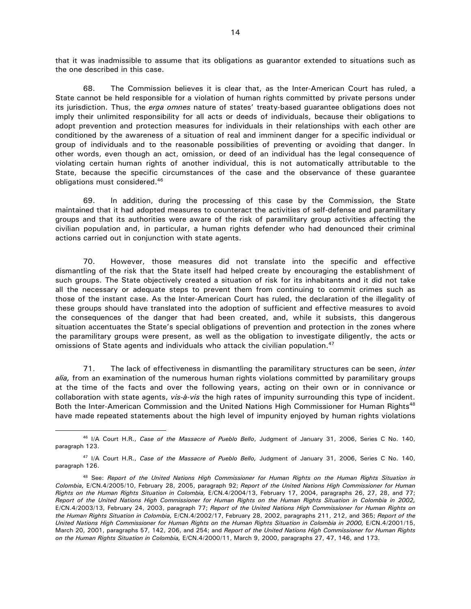that it was inadmissible to assume that its obligations as guarantor extended to situations such as the one described in this case.

68. The Commission believes it is clear that, as the Inter-American Court has ruled, a State cannot be held responsible for a violation of human rights committed by private persons under its jurisdiction. Thus, the *erga omnes* nature of states' treaty-based guarantee obligations does not imply their unlimited responsibility for all acts or deeds of individuals, because their obligations to adopt prevention and protection measures for individuals in their relationships with each other are conditioned by the awareness of a situation of real and imminent danger for a specific individual or group of individuals and to the reasonable possibilities of preventing or avoiding that danger. In other words, even though an act, omission, or deed of an individual has the legal consequence of violating certain human rights of another individual, this is not automatically attributable to the State, because the specific circumstances of the case and the observance of these guarantee obligations must considered.<sup>46</sup>

69. In addition, during the processing of this case by the Commission, the State maintained that it had adopted measures to counteract the activities of self-defense and paramilitary groups and that its authorities were aware of the risk of paramilitary group activities affecting the civilian population and, in particular, a human rights defender who had denounced their criminal actions carried out in conjunction with state agents.

70. However, those measures did not translate into the specific and effective dismantling of the risk that the State itself had helped create by encouraging the establishment of such groups. The State objectively created a situation of risk for its inhabitants and it did not take all the necessary or adequate steps to prevent them from continuing to commit crimes such as those of the instant case. As the Inter-American Court has ruled, the declaration of the illegality of these groups should have translated into the adoption of sufficient and effective measures to avoid the consequences of the danger that had been created, and, while it subsists, this dangerous situation accentuates the State's special obligations of prevention and protection in the zones where the paramilitary groups were present, as well as the obligation to investigate diligently, the acts or omissions of State agents and individuals who attack the civilian population.<sup>47</sup>

71. The lack of effectiveness in dismantling the paramilitary structures can be seen, *inter alia,* from an examination of the numerous human rights violations committed by paramilitary groups at the time of the facts and over the following years, acting on their own or in connivance or collaboration with state agents, *vis-à-vis* the high rates of impunity surrounding this type of incident. Both the Inter-American Commission and the United Nations High Commissioner for Human Rights<sup>48</sup> have made repeated statements about the high level of impunity enjoyed by human rights violations

<sup>46</sup> I/A Court H.R., *Case of the Massacre of Pueblo Bello*, Judgment of January 31, 2006, Series C No. 140, paragraph 123.

<sup>47</sup> I/A Court H.R., *Case of the Massacre of Pueblo Bello,* Judgment of January 31, 2006, Series C No. 140, paragraph 126.

<sup>48</sup> See: *Report of the United Nations High Commissioner for Human Rights on the Human Rights Situation in Colombia,* E/CN.4/2005/10, February 28, 2005, paragraph 92; *Report of the United Nations High Commissioner for Human Rights on the Human Rights Situation in Colombia,* E/CN.4/2004/13, February 17, 2004, paragraphs 26, 27, 28, and 77; *Report of the United Nations High Commissioner for Human Rights on the Human Rights Situation in Colombia in 2002,* E/CN.4/2003/13, February 24, 2003, paragraph 77; *Report of the United Nations High Commissioner for Human Rights on the Human Rights Situation in Colombia,* E/CN.4/2002/17, February 28, 2002, paragraphs 211, 212, and 365; *Report of the United Nations High Commissioner for Human Rights on the Human Rights Situation in Colombia in 2000,* E/CN.4/2001/15, March 20, 2001, paragraphs 57, 142, 206, and 254; and *Report of the United Nations High Commissioner for Human Rights on the Human Rights Situation in Colombia,* E/CN.4/2000/11, March 9, 2000, paragraphs 27, 47, 146, and 173.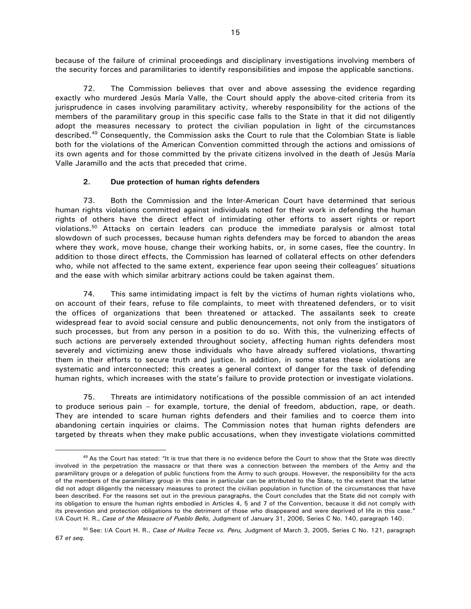because of the failure of criminal proceedings and disciplinary investigations involving members of the security forces and paramilitaries to identify responsibilities and impose the applicable sanctions.

72. The Commission believes that over and above assessing the evidence regarding exactly who murdered Jesús María Valle, the Court should apply the above-cited criteria from its jurisprudence in cases involving paramilitary activity, whereby responsibility for the actions of the members of the paramilitary group in this specific case falls to the State in that it did not diligently adopt the measures necessary to protect the civilian population in light of the circumstances described.<sup>49</sup> Consequently, the Commission asks the Court to rule that the Colombian State is liable both for the violations of the American Convention committed through the actions and omissions of its own agents and for those committed by the private citizens involved in the death of Jesús María Valle Jaramillo and the acts that preceded that crime.

## **2. Due protection of human rights defenders**

 $\overline{a}$ 

73. Both the Commission and the Inter-American Court have determined that serious human rights violations committed against individuals noted for their work in defending the human rights of others have the direct effect of intimidating other efforts to assert rights or report violations.<sup>50</sup> Attacks on certain leaders can produce the immediate paralysis or almost total slowdown of such processes, because human rights defenders may be forced to abandon the areas where they work, move house, change their working habits, or, in some cases, flee the country. In addition to those direct effects, the Commission has learned of collateral effects on other defenders who, while not affected to the same extent, experience fear upon seeing their colleagues' situations and the ease with which similar arbitrary actions could be taken against them.

74. This same intimidating impact is felt by the victims of human rights violations who, on account of their fears, refuse to file complaints, to meet with threatened defenders, or to visit the offices of organizations that been threatened or attacked. The assailants seek to create widespread fear to avoid social censure and public denouncements, not only from the instigators of such processes, but from any person in a position to do so. With this, the vulnerizing effects of such actions are perversely extended throughout society, affecting human rights defenders most severely and victimizing anew those individuals who have already suffered violations, thwarting them in their efforts to secure truth and justice. In addition, in some states these violations are systematic and interconnected; this creates a general context of danger for the task of defending human rights, which increases with the state's failure to provide protection or investigate violations.

75. Threats are intimidatory notifications of the possible commission of an act intended to produce serious pain – for example, torture, the denial of freedom, abduction, rape, or death. They are intended to scare human rights defenders and their families and to coerce them into abandoning certain inquiries or claims. The Commission notes that human rights defenders are targeted by threats when they make public accusations, when they investigate violations committed

 $49$  As the Court has stated: "It is true that there is no evidence before the Court to show that the State was directly involved in the perpetration the massacre or that there was a connection between the members of the Army and the paramilitary groups or a delegation of public functions from the Army to such groups. However, the responsibility for the acts of the members of the paramilitary group in this case in particular can be attributed to the State, to the extent that the latter did not adopt diligently the necessary measures to protect the civilian population in function of the circumstances that have been described. For the reasons set out in the previous paragraphs, the Court concludes that the State did not comply with its obligation to ensure the human rights embodied in Articles 4, 5 and 7 of the Convention, because it did not comply with its prevention and protection obligations to the detriment of those who disappeared and were deprived of life in this case." I/A Court H. R., *Case of the Massacre of Pueblo Bello,* Judgment of January 31, 2006, Series C No. 140, paragraph 140.

<sup>50</sup>See: I/A Court H. R., *Case of Huilca Tecse vs. Peru,* Judgment of March 3, 2005, Series C No. 121, paragraph 67 *et seq.*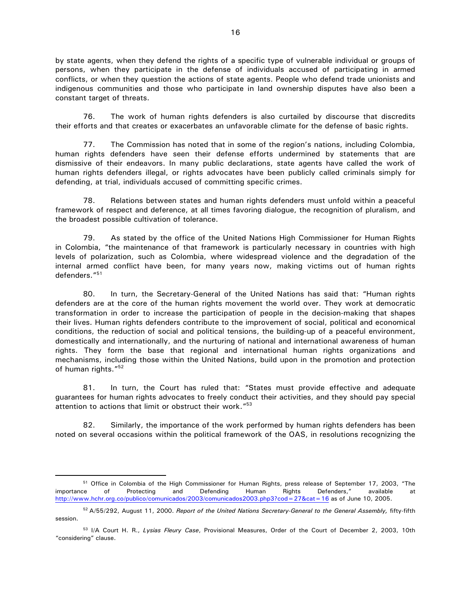by state agents, when they defend the rights of a specific type of vulnerable individual or groups of persons, when they participate in the defense of individuals accused of participating in armed conflicts, or when they question the actions of state agents. People who defend trade unionists and indigenous communities and those who participate in land ownership disputes have also been a constant target of threats.

76. The work of human rights defenders is also curtailed by discourse that discredits their efforts and that creates or exacerbates an unfavorable climate for the defense of basic rights.

77. The Commission has noted that in some of the region's nations, including Colombia, human rights defenders have seen their defense efforts undermined by statements that are dismissive of their endeavors. In many public declarations, state agents have called the work of human rights defenders illegal, or rights advocates have been publicly called criminals simply for defending, at trial, individuals accused of committing specific crimes.

78. Relations between states and human rights defenders must unfold within a peaceful framework of respect and deference, at all times favoring dialogue, the recognition of pluralism, and the broadest possible cultivation of tolerance.

79. As stated by the office of the United Nations High Commissioner for Human Rights in Colombia, "the maintenance of that framework is particularly necessary in countries with high levels of polarization, such as Colombia, where widespread violence and the degradation of the internal armed conflict have been, for many years now, making victims out of human rights defenders."<sup>51</sup>

80. In turn, the Secretary-General of the United Nations has said that: "Human rights defenders are at the core of the human rights movement the world over. They work at democratic transformation in order to increase the participation of people in the decision-making that shapes their lives. Human rights defenders contribute to the improvement of social, political and economical conditions, the reduction of social and political tensions, the building-up of a peaceful environment, domestically and internationally, and the nurturing of national and international awareness of human rights. They form the base that regional and international human rights organizations and mechanisms, including those within the United Nations, build upon in the promotion and protection of human rights."<sup>52</sup>

81. In turn, the Court has ruled that: "States must provide effective and adequate guarantees for human rights advocates to freely conduct their activities, and they should pay special attention to actions that limit or obstruct their work."<sup>53</sup>

82. Similarly, the importance of the work performed by human rights defenders has been noted on several occasions within the political framework of the OAS, in resolutions recognizing the

<sup>&</sup>lt;sup>51</sup> Office in Colombia of the High Commissioner for Human Rights, press release of September 17, 2003, "The importance of Protecting and Defending Human Rights Defenders," available at http://www.hchr.org.co/publico/comunicados/2003/comunicados2003.php3?cod=27&cat=16 as of June 10, 2005.

<sup>52</sup>A/55/292, August 11, 2000. *Report of the United Nations Secretary-General to the General Assembly,* fifty-fifth session.

<sup>53</sup> I/A Court H. R., *Lysias Fleury Case*, Provisional Measures, Order of the Court of December 2, 2003, 10th "considering" clause.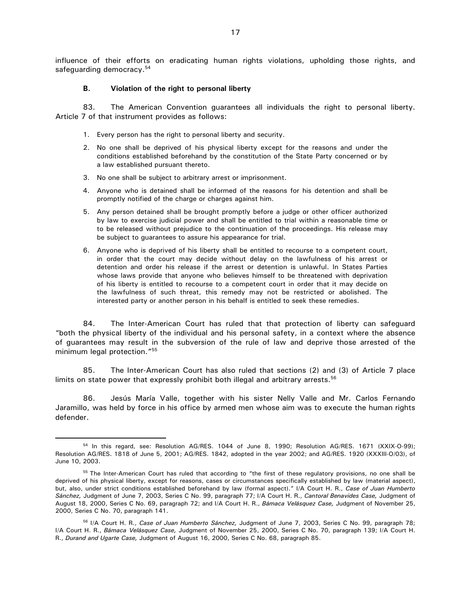influence of their efforts on eradicating human rights violations, upholding those rights, and safeguarding democracy.<sup>54</sup>

#### **B. Violation of the right to personal liberty**

83. The American Convention guarantees all individuals the right to personal liberty. Article 7 of that instrument provides as follows:

- 1. Every person has the right to personal liberty and security.
- 2. No one shall be deprived of his physical liberty except for the reasons and under the conditions established beforehand by the constitution of the State Party concerned or by a law established pursuant thereto.
- 3. No one shall be subject to arbitrary arrest or imprisonment.

 $\overline{a}$ 

- 4. Anyone who is detained shall be informed of the reasons for his detention and shall be promptly notified of the charge or charges against him.
- 5. Any person detained shall be brought promptly before a judge or other officer authorized by law to exercise judicial power and shall be entitled to trial within a reasonable time or to be released without prejudice to the continuation of the proceedings. His release may be subject to guarantees to assure his appearance for trial.
- 6. Anyone who is deprived of his liberty shall be entitled to recourse to a competent court, in order that the court may decide without delay on the lawfulness of his arrest or detention and order his release if the arrest or detention is unlawful. In States Parties whose laws provide that anyone who believes himself to be threatened with deprivation of his liberty is entitled to recourse to a competent court in order that it may decide on the lawfulness of such threat, this remedy may not be restricted or abolished. The interested party or another person in his behalf is entitled to seek these remedies.

84. The Inter-American Court has ruled that that protection of liberty can safeguard "both the physical liberty of the individual and his personal safety, in a context where the absence of guarantees may result in the subversion of the rule of law and deprive those arrested of the minimum legal protection."<sup>55</sup>

85. The Inter-American Court has also ruled that sections (2) and (3) of Article 7 place limits on state power that expressly prohibit both illegal and arbitrary arrests.<sup>56</sup>

86. Jesús María Valle, together with his sister Nelly Valle and Mr. Carlos Fernando Jaramillo, was held by force in his office by armed men whose aim was to execute the human rights defender.

<sup>54</sup> In this regard, see: Resolution AG/RES. 1044 of June 8, 1990; Resolution AG/RES. 1671 (XXIX-O-99); Resolution AG/RES. 1818 of June 5, 2001; AG/RES. 1842, adopted in the year 2002; and AG/RES. 1920 (XXXIII-O/03), of June 10, 2003.

<sup>&</sup>lt;sup>55</sup> The Inter-American Court has ruled that according to "the first of these regulatory provisions, no one shall be deprived of his physical liberty, except for reasons, cases or circumstances specifically established by law (material aspect), but, also, under strict conditions established beforehand by law (formal aspect)." I/A Court H. R., *Case of Juan Humberto Sánchez,* Judgment of June 7, 2003, Series C No. 99, paragraph 77; I/A Court H. R., *Cantoral Benavides Case,* Judgment of August 18, 2000, Series C No. 69, paragraph 72; and I/A Court H. R., *Bámaca Velásquez Case,* Judgment of November 25, 2000, Series C No. 70, paragraph 141.

<sup>56</sup> I/A Court H. R., *Case of Juan Humberto Sánchez,* Judgment of June 7, 2003, Series C No. 99, paragraph 78; I/A Court H. R., *Bámaca Velásquez Case,* Judgment of November 25, 2000, Series C No. 70, paragraph 139; I/A Court H. R., *Durand and Ugarte Case,* Judgment of August 16, 2000, Series C No. 68, paragraph 85.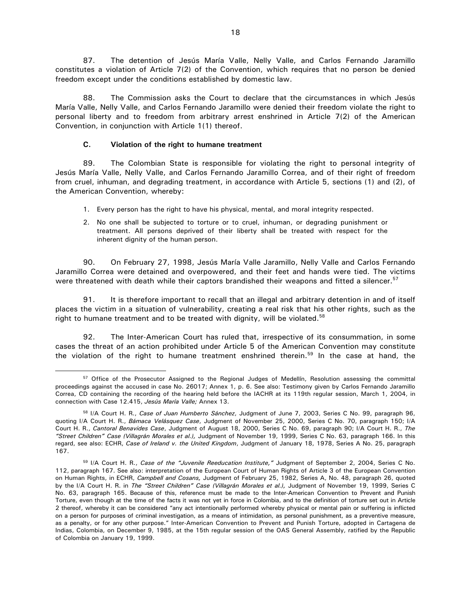87. The detention of Jesús María Valle, Nelly Valle, and Carlos Fernando Jaramillo constitutes a violation of Article 7(2) of the Convention, which requires that no person be denied freedom except under the conditions established by domestic law.

88. The Commission asks the Court to declare that the circumstances in which Jesús María Valle, Nelly Valle, and Carlos Fernando Jaramillo were denied their freedom violate the right to personal liberty and to freedom from arbitrary arrest enshrined in Article 7(2) of the American Convention, in conjunction with Article 1(1) thereof.

## **C. Violation of the right to humane treatment**

 $\overline{a}$ 

89. The Colombian State is responsible for violating the right to personal integrity of Jesús María Valle, Nelly Valle, and Carlos Fernando Jaramillo Correa, and of their right of freedom from cruel, inhuman, and degrading treatment, in accordance with Article 5, sections (1) and (2), of the American Convention, whereby:

- 1. Every person has the right to have his physical, mental, and moral integrity respected.
- 2. No one shall be subjected to torture or to cruel, inhuman, or degrading punishment or treatment. All persons deprived of their liberty shall be treated with respect for the inherent dignity of the human person.

90. On February 27, 1998, Jesús María Valle Jaramillo, Nelly Valle and Carlos Fernando Jaramillo Correa were detained and overpowered, and their feet and hands were tied. The victims were threatened with death while their captors brandished their weapons and fitted a silencer.<sup>57</sup>

91. It is therefore important to recall that an illegal and arbitrary detention in and of itself places the victim in a situation of vulnerability, creating a real risk that his other rights, such as the right to humane treatment and to be treated with dignity, will be violated.<sup>58</sup>

92. The Inter-American Court has ruled that, irrespective of its consummation, in some cases the threat of an action prohibited under Article 5 of the American Convention may constitute the violation of the right to humane treatment enshrined therein.<sup>59</sup> In the case at hand, the

<sup>&</sup>lt;sup>57</sup> Office of the Prosecutor Assigned to the Regional Judges of Medellín, Resolution assessing the committal proceedings against the accused in case No. 26017; Annex 1, p. 6. See also: Testimony given by Carlos Fernando Jaramillo Correa, CD containing the recording of the hearing held before the IACHR at its 119th regular session, March 1, 2004, in connection with Case 12.415, *Jesús María Valle;* Annex 13.

<sup>58</sup> I/A Court H. R., *Case of Juan Humberto Sánchez*, Judgment of June 7, 2003, Series C No. 99, paragraph 96, quoting I/A Court H. R., *Bámaca Velásquez Case*, Judgment of November 25, 2000, Series C No. 70, paragraph 150; I/A Court H. R., *Cantoral Benavides Case*, Judgment of August 18, 2000, Series C No. 69, paragraph 90; I/A Court H. R., *The "Street Children" Case (Villagrán Morales et al.),* Judgment of November 19, 1999, Series C No. 63, paragraph 166. In this regard, see also: ECHR, *Case of Ireland v. the United Kingdom*, Judgment of January 18, 1978, Series A No. 25, paragraph 167.

<sup>59</sup> I/A Court H. R., *Case of the "Juvenile Reeducation Institute,"* Judgment of September 2, 2004, Series C No. 112, paragraph 167. See also: interpretation of the European Court of Human Rights of Article 3 of the European Convention on Human Rights, in ECHR, *Campbell and Cosans,* Judgment of February 25, 1982, Series A, No. 48, paragraph 26, quoted by the I/A Court H. R. in *The "Street Children" Case (Villagrán Morales et al.),* Judgment of November 19, 1999, Series C No. 63, paragraph 165. Because of this, reference must be made to the Inter-American Convention to Prevent and Punish Torture, even though at the time of the facts it was not yet in force in Colombia, and to the definition of torture set out in Article 2 thereof, whereby it can be considered "any act intentionally performed whereby physical or mental pain or suffering is inflicted on a person for purposes of criminal investigation, as a means of intimidation, as personal punishment, as a preventive measure, as a penalty, or for any other purpose." Inter-American Convention to Prevent and Punish Torture, adopted in Cartagena de Indias, Colombia, on December 9, 1985, at the 15th regular session of the OAS General Assembly, ratified by the Republic of Colombia on January 19, 1999.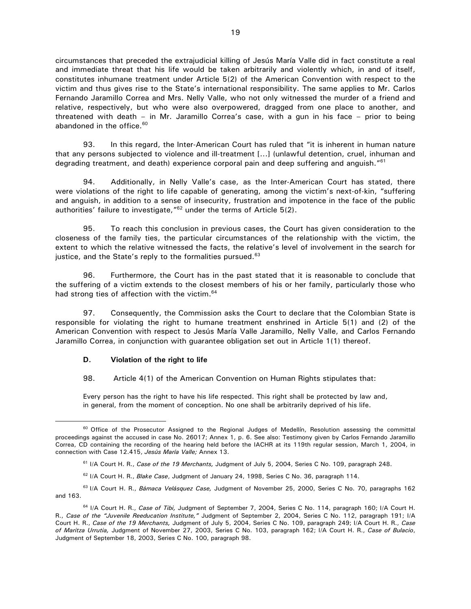circumstances that preceded the extrajudicial killing of Jesús María Valle did in fact constitute a real and immediate threat that his life would be taken arbitrarily and violently which, in and of itself, constitutes inhumane treatment under Article 5(2) of the American Convention with respect to the victim and thus gives rise to the State's international responsibility. The same applies to Mr. Carlos Fernando Jaramillo Correa and Mrs. Nelly Valle, who not only witnessed the murder of a friend and relative, respectively, but who were also overpowered, dragged from one place to another, and threatened with death – in Mr. Jaramillo Correa's case, with a gun in his face – prior to being abandoned in the office.<sup>60</sup>

93. In this regard, the Inter-American Court has ruled that "it is inherent in human nature that any persons subjected to violence and ill-treatment [...] (unlawful detention, cruel, inhuman and degrading treatment, and death) experience corporal pain and deep suffering and anguish."<sup>61</sup>

94. Additionally, in Nelly Valle's case, as the Inter-American Court has stated, there were violations of the right to life capable of generating, among the victim's next-of-kin, "suffering and anguish, in addition to a sense of insecurity, frustration and impotence in the face of the public authorities' failure to investigate, "<sup>62</sup> under the terms of Article 5(2).

95. To reach this conclusion in previous cases, the Court has given consideration to the closeness of the family ties, the particular circumstances of the relationship with the victim, the extent to which the relative witnessed the facts, the relative's level of involvement in the search for justice, and the State's reply to the formalities pursued. $63$ 

96. Furthermore, the Court has in the past stated that it is reasonable to conclude that the suffering of a victim extends to the closest members of his or her family, particularly those who had strong ties of affection with the victim.<sup>64</sup>

97. Consequently, the Commission asks the Court to declare that the Colombian State is responsible for violating the right to humane treatment enshrined in Article 5(1) and (2) of the American Convention with respect to Jesús María Valle Jaramillo, Nelly Valle, and Carlos Fernando Jaramillo Correa, in conjunction with guarantee obligation set out in Article 1(1) thereof.

## **D. Violation of the right to life**

 $\overline{a}$ 

98. Article 4(1) of the American Convention on Human Rights stipulates that:

Every person has the right to have his life respected. This right shall be protected by law and, in general, from the moment of conception. No one shall be arbitrarily deprived of his life.

<sup>63</sup>I/A Court H. R., *Bámaca Velásquez Case,* Judgment of November 25, 2000, Series C No. 70, paragraphs 162 and 163.

<sup>&</sup>lt;sup>60</sup> Office of the Prosecutor Assigned to the Regional Judges of Medellín, Resolution assessing the committal proceedings against the accused in case No. 26017; Annex 1, p. 6. See also: Testimony given by Carlos Fernando Jaramillo Correa, CD containing the recording of the hearing held before the IACHR at its 119th regular session, March 1, 2004, in connection with Case 12.415, *Jesús María Valle;* Annex 13.

<sup>61</sup> I/A Court H. R., *Case of the 19 Merchants,* Judgment of July 5, 2004, Series C No. 109, paragraph 248.

<sup>62</sup> I/A Court H. R., *Blake Case*, Judgment of January 24, 1998, Series C No. 36, paragraph 114.

<sup>64</sup> I/A Court H. R., *Case of Tibi,* Judgment of September 7, 2004, Series C No. 114, paragraph 160; I/A Court H. R., *Case of the "Juvenile Reeducation Institute,"* Judgment of September 2, 2004, Series C No. 112, paragraph 191; I/A Court H. R., *Case of the 19 Merchants,* Judgment of July 5, 2004, Series C No. 109, paragraph 249; I/A Court H. R., *Case of Maritza Urrutia,* Judgment of November 27, 2003, Series C No. 103, paragraph 162; I/A Court H. R., *Case of Bulacio*, Judgment of September 18, 2003, Series C No. 100, paragraph 98.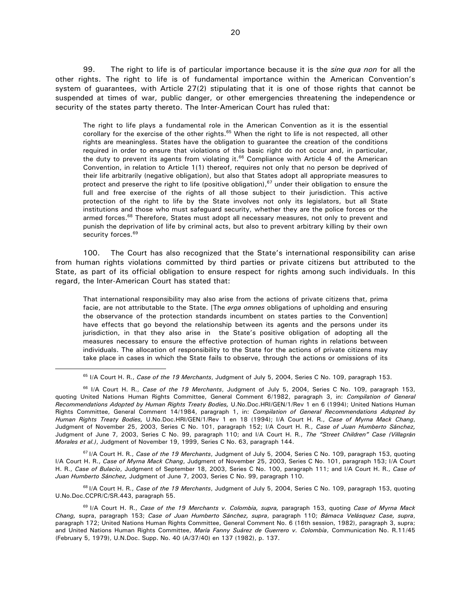99. The right to life is of particular importance because it is the *sine qua non* for all the other rights. The right to life is of fundamental importance within the American Convention's system of guarantees, with Article 27(2) stipulating that it is one of those rights that cannot be suspended at times of war, public danger, or other emergencies threatening the independence or security of the states party thereto. The Inter-American Court has ruled that:

The right to life plays a fundamental role in the American Convention as it is the essential corollary for the exercise of the other rights.<sup>65</sup> When the right to life is not respected, all other rights are meaningless. States have the obligation to guarantee the creation of the conditions required in order to ensure that violations of this basic right do not occur and, in particular, the duty to prevent its agents from violating it. $66$  Compliance with Article 4 of the American Convention, in relation to Article 1(1) thereof, requires not only that no person be deprived of their life arbitrarily (negative obligation), but also that States adopt all appropriate measures to protect and preserve the right to life (positive obligation),  $67$  under their obligation to ensure the full and free exercise of the rights of all those subject to their jurisdiction. This active protection of the right to life by the State involves not only its legislators, but all State institutions and those who must safeguard security, whether they are the police forces or the armed forces.<sup>68</sup> Therefore, States must adopt all necessary measures, not only to prevent and punish the deprivation of life by criminal acts, but also to prevent arbitrary killing by their own security forces.<sup>69</sup>

100. The Court has also recognized that the State's international responsibility can arise from human rights violations committed by third parties or private citizens but attributed to the State, as part of its official obligation to ensure respect for rights among such individuals. In this regard, the Inter-American Court has stated that:

That international responsibility may also arise from the actions of private citizens that, prima facie, are not attributable to the State. [The *erga omnes* obligations of upholding and ensuring the observance of the protection standards incumbent on states parties to the Convention] have effects that go beyond the relationship between its agents and the persons under its jurisdiction, in that they also arise in the State's positive obligation of adopting all the measures necessary to ensure the effective protection of human rights in relations between individuals. The allocation of responsibility to the State for the actions of private citizens may take place in cases in which the State fails to observe, through the actions or omissions of its

 $\overline{a}$ 

<sup>67</sup>I/A Court H. R., *Case of the 19 Merchants*, Judgment of July 5, 2004, Series C No. 109, paragraph 153, quoting I/A Court H. R., *Case of Myrna Mack Chang*, Judgment of November 25, 2003, Series C No. 101, paragraph 153; I/A Court H. R., *Case of Bulacio*, Judgment of September 18, 2003, Series C No. 100, paragraph 111; and I/A Court H. R., *Case of Juan Humberto Sánchez,* Judgment of June 7, 2003, Series C No. 99, paragraph 110.

<sup>68</sup>I/A Court H. R., *Case of the 19 Merchants*, Judgment of July 5, 2004, Series C No. 109, paragraph 153, quoting U.No.Doc.CCPR/C/SR.443, paragraph 55.

<sup>65</sup> I/A Court H. R., *Case of the 19 Merchants*, Judgment of July 5, 2004, Series C No. 109, paragraph 153.

<sup>66</sup> I/A Court H. R., *Case of the 19 Merchants*, Judgment of July 5, 2004, Series C No. 109, paragraph 153, quoting United Nations Human Rights Committee, General Comment 6/1982, paragraph 3, in: *Compilation of General Recommendations Adopted by Human Rights Treaty Bodies,* U.No.Doc.HRI/GEN/1/Rev 1 en 6 (1994); United Nations Human Rights Committee, General Comment 14/1984, paragraph 1, in: *Compilation of General Recommendations Adopted by Human Rights Treaty Bodies,* U.No.Doc.HRI/GEN/1/Rev 1 en 18 (1994); I/A Court H. R., *Case of Myrna Mack Chang*, Judgment of November 25, 2003, Series C No. 101, paragraph 152; I/A Court H. R., *Case of Juan Humberto Sánchez,*  Judgment of June 7, 2003, Series C No. 99, paragraph 110; and I/A Court H. R., *The "Street Children" Case (Villagrán Morales et al.)*, Judgment of November 19, 1999, Series C No. 63, paragraph 144.

<sup>69</sup>I/A Court H. R., *Case of the 19 Merchants v. Colombia, supra,* paragraph 153, quoting *Case of Myrna Mack Chang,* supra, paragraph 153; *Case of Juan Humberto Sánchez, supra*, paragraph 110; *Bámaca Velásquez Case, supra*, paragraph 172; United Nations Human Rights Committee, General Comment No. 6 (16th session, 1982), paragraph 3, supra; and United Nations Human Rights Committee, *María Fanny Suárez de Guerrero v. Colombia*, Communication No. R.11/45 (February 5, 1979), U.N.Doc. Supp. No. 40 (A/37/40) en 137 (1982), p. 137.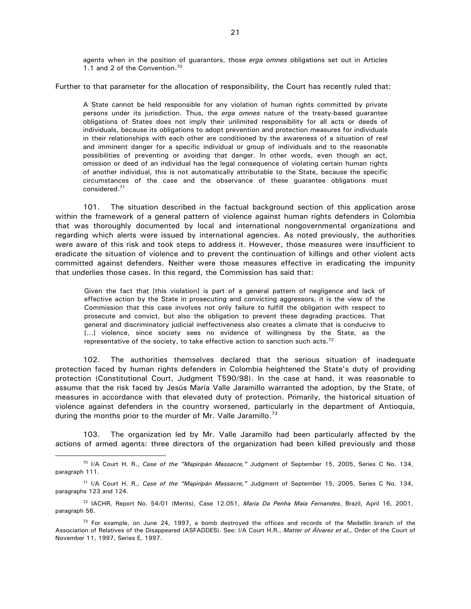agents when in the position of guarantors, those *erga omnes* obligations set out in Articles 1.1 and 2 of the Convention.<sup>70</sup>

Further to that parameter for the allocation of responsibility, the Court has recently ruled that:

A State cannot be held responsible for any violation of human rights committed by private persons under its jurisdiction. Thus, the *erga omnes* nature of the treaty-based guarantee obligations of States does not imply their unlimited responsibility for all acts or deeds of individuals, because its obligations to adopt prevention and protection measures for individuals in their relationships with each other are conditioned by the awareness of a situation of real and imminent danger for a specific individual or group of individuals and to the reasonable possibilities of preventing or avoiding that danger. In other words, even though an act, omission or deed of an individual has the legal consequence of violating certain human rights of another individual, this is not automatically attributable to the State, because the specific circumstances of the case and the observance of these guarantee obligations must considered.<sup>71</sup>

101. The situation described in the factual background section of this application arose within the framework of a general pattern of violence against human rights defenders in Colombia that was thoroughly documented by local and international nongovernmental organizations and regarding which alerts were issued by international agencies. As noted previously, the authorities were aware of this risk and took steps to address it. However, those measures were insufficient to eradicate the situation of violence and to prevent the continuation of killings and other violent acts committed against defenders. Neither were those measures effective in eradicating the impunity that underlies those cases. In this regard, the Commission has said that:

Given the fact that [this violation] is part of a general pattern of negligence and lack of effective action by the State in prosecuting and convicting aggressors, it is the view of the Commission that this case involves not only failure to fulfill the obligation with respect to prosecute and convict, but also the obligation to prevent these degrading practices. That general and discriminatory judicial ineffectiveness also creates a climate that is conducive to [...] violence, since society sees no evidence of willingness by the State, as the representative of the society, to take effective action to sanction such acts.<sup>72</sup>

102. The authorities themselves declared that the serious situation of inadequate protection faced by human rights defenders in Colombia heightened the State's duty of providing protection (Constitutional Court, Judgment T590/98). In the case at hand, it was reasonable to assume that the risk faced by Jesús María Valle Jaramillo warranted the adoption, by the State, of measures in accordance with that elevated duty of protection. Primarily, the historical situation of violence against defenders in the country worsened, particularly in the department of Antioquia, during the months prior to the murder of Mr. Valle Jaramillo.<sup>73</sup>

103. The organization led by Mr. Valle Jaramillo had been particularly affected by the actions of armed agents: three directors of the organization had been killed previously and those

<sup>70</sup> I/A Court H. R., *Case of the "Mapiripán Massacre,"* Judgment of September 15, 2005, Series C No. 134, paragraph 111.

<sup>71</sup> I/A Court H. R., *Case of the "Mapiripán Massacre,"* Judgment of September 15, 2005, Series C No. 134, paragraphs 123 and 124.

<sup>72</sup> IACHR, Report No. 54/01 (Merits), Case 12.051, *Maria Da Penha Maia Fernandes*, Brazil, April 16, 2001, paragraph 56.

 $73$  For example, on June 24, 1997, a bomb destroyed the offices and records of the Medellín branch of the Association of Relatives of the Disappeared (ASFADDES). See: I/A Court H.R., *Matter of Álvarez et al.,* Order of the Court of November 11, 1997, Series E, 1997.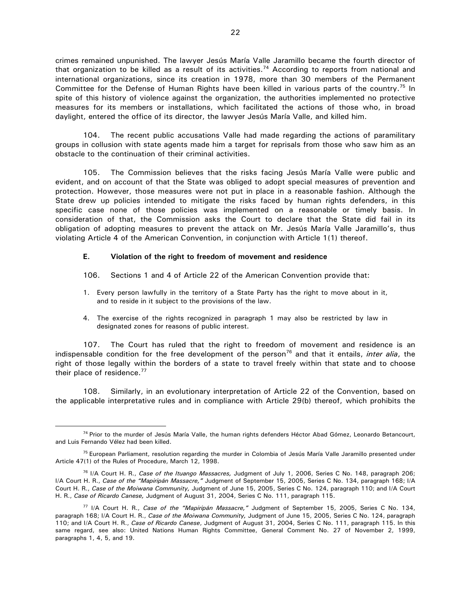crimes remained unpunished. The lawyer Jesús María Valle Jaramillo became the fourth director of that organization to be killed as a result of its activities.<sup>74</sup> According to reports from national and international organizations, since its creation in 1978, more than 30 members of the Permanent Committee for the Defense of Human Rights have been killed in various parts of the country.<sup>75</sup> In spite of this history of violence against the organization, the authorities implemented no protective measures for its members or installations, which facilitated the actions of those who, in broad daylight, entered the office of its director, the lawyer Jesús María Valle, and killed him.

104. The recent public accusations Valle had made regarding the actions of paramilitary groups in collusion with state agents made him a target for reprisals from those who saw him as an obstacle to the continuation of their criminal activities.

105. The Commission believes that the risks facing Jesús María Valle were public and evident, and on account of that the State was obliged to adopt special measures of prevention and protection. However, those measures were not put in place in a reasonable fashion. Although the State drew up policies intended to mitigate the risks faced by human rights defenders, in this specific case none of those policies was implemented on a reasonable or timely basis. In consideration of that, the Commission asks the Court to declare that the State did fail in its obligation of adopting measures to prevent the attack on Mr. Jesús María Valle Jaramillo's, thus violating Article 4 of the American Convention, in conjunction with Article 1(1) thereof.

#### **E. Violation of the right to freedom of movement and residence**

- 106. Sections 1 and 4 of Article 22 of the American Convention provide that:
- 1. Every person lawfully in the territory of a State Party has the right to move about in it, and to reside in it subject to the provisions of the law.
- 4. The exercise of the rights recognized in paragraph 1 may also be restricted by law in designated zones for reasons of public interest.

107. The Court has ruled that the right to freedom of movement and residence is an indispensable condition for the free development of the person<sup>76</sup> and that it entails, *inter alia*, the right of those legally within the borders of a state to travel freely within that state and to choose their place of residence.<sup>77</sup>

108. Similarly, in an evolutionary interpretation of Article 22 of the Convention, based on the applicable interpretative rules and in compliance with Article 29(b) thereof, which prohibits the

<sup>74</sup> Prior to the murder of Jesús María Valle, the human rights defenders Héctor Abad Gómez, Leonardo Betancourt, and Luis Fernando Vélez had been killed.

<sup>&</sup>lt;sup>75</sup> European Parliament, resolution regarding the murder in Colombia of Jesús María Valle Jaramillo presented under Article 47(1) of the Rules of Procedure, March 12, 1998.

<sup>76</sup> I/A Court H. R., *Case of the Ituango Massacres,* Judgment of July 1, 2006, Series C No. 148, paragraph 206; I/A Court H. R., *Case of the "Mapiripán Massacre,"* Judgment of September 15, 2005, Series C No. 134, paragraph 168; I/A Court H. R., *Case of the Moiwana Community,* Judgment of June 15, 2005, Series C No. 124, paragraph 110; and I/A Court H. R., *Case of Ricardo Canese,* Judgment of August 31, 2004, Series C No. 111, paragraph 115.

<sup>77</sup> I/A Court H. R., *Case of the "Mapiripán Massacre,"* Judgment of September 15, 2005, Series C No. 134, paragraph 168; I/A Court H. R., *Case of the Moiwana Community,* Judgment of June 15, 2005, Series C No. 124, paragraph 110; and I/A Court H. R., *Case of Ricardo Canese*, Judgment of August 31, 2004, Series C No. 111, paragraph 115. In this same regard, see also: United Nations Human Rights Committee, General Comment No. 27 of November 2, 1999, paragraphs 1, 4, 5, and 19.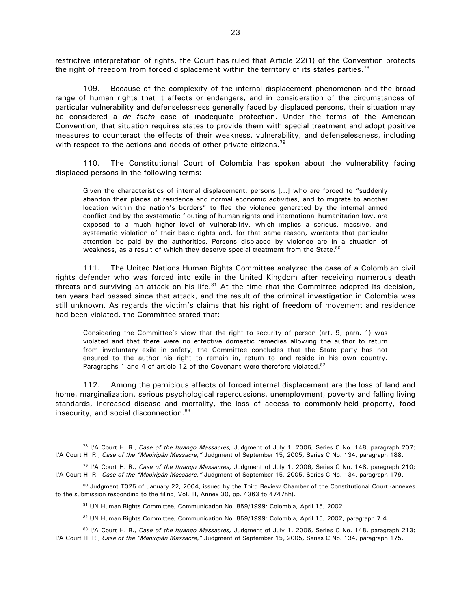restrictive interpretation of rights, the Court has ruled that Article 22(1) of the Convention protects the right of freedom from forced displacement within the territory of its states parties.<sup>78</sup>

109. Because of the complexity of the internal displacement phenomenon and the broad range of human rights that it affects or endangers, and in consideration of the circumstances of particular vulnerability and defenselessness generally faced by displaced persons, their situation may be considered a *de facto* case of inadequate protection. Under the terms of the American Convention, that situation requires states to provide them with special treatment and adopt positive measures to counteract the effects of their weakness, vulnerability, and defenselessness, including with respect to the actions and deeds of other private citizens.<sup>79</sup>

110. The Constitutional Court of Colombia has spoken about the vulnerability facing displaced persons in the following terms:

Given the characteristics of internal displacement, persons […] who are forced to "suddenly abandon their places of residence and normal economic activities, and to migrate to another location within the nation's borders" to flee the violence generated by the internal armed conflict and by the systematic flouting of human rights and international humanitarian law, are exposed to a much higher level of vulnerability, which implies a serious, massive, and systematic violation of their basic rights and, for that same reason, warrants that particular attention be paid by the authorities. Persons displaced by violence are in a situation of weakness, as a result of which they deserve special treatment from the State.<sup>80</sup>

111. The United Nations Human Rights Committee analyzed the case of a Colombian civil rights defender who was forced into exile in the United Kingdom after receiving numerous death threats and surviving an attack on his life.<sup>81</sup> At the time that the Committee adopted its decision, ten years had passed since that attack, and the result of the criminal investigation in Colombia was still unknown. As regards the victim's claims that his right of freedom of movement and residence had been violated, the Committee stated that:

Considering the Committee's view that the right to security of person (art. 9, para. 1) was violated and that there were no effective domestic remedies allowing the author to return from involuntary exile in safety, the Committee concludes that the State party has not ensured to the author his right to remain in, return to and reside in his own country. Paragraphs 1 and 4 of article 12 of the Covenant were therefore violated.<sup>82</sup>

112. Among the pernicious effects of forced internal displacement are the loss of land and home, marginalization, serious psychological repercussions, unemployment, poverty and falling living standards, increased disease and mortality, the loss of access to commonly-held property, food insecurity, and social disconnection. $83$ 

<sup>78</sup> I/A Court H. R., *Case of the Ituango Massacres,* Judgment of July 1, 2006, Series C No. 148, paragraph 207; I/A Court H. R., *Case of the "Mapiripán Massacre,"* Judgment of September 15, 2005, Series C No. 134, paragraph 188.

<sup>79</sup> I/A Court H. R., *Case of the Ituango Massacres,* Judgment of July 1, 2006, Series C No. 148, paragraph 210; I/A Court H. R., *Case of the "Mapiripán Massacre,"* Judgment of September 15, 2005, Series C No. 134, paragraph 179.

<sup>80</sup> Judgment T025 of January 22, 2004, issued by the Third Review Chamber of the Constitutional Court (annexes to the submission responding to the filing, Vol. III, Annex 30, pp. 4363 to 4747hh).

<sup>81</sup> UN Human Rights Committee, Communication No. 859/1999: Colombia, April 15, 2002.

<sup>82</sup> UN Human Rights Committee, Communication No. 859/1999: Colombia, April 15, 2002, paragraph 7.4.

<sup>83</sup> I/A Court H. R., *Case of the Ituango Massacres,* Judgment of July 1, 2006, Series C No. 148, paragraph 213; I/A Court H. R., *Case of the "Mapiripán Massacre,"* Judgment of September 15, 2005, Series C No. 134, paragraph 175.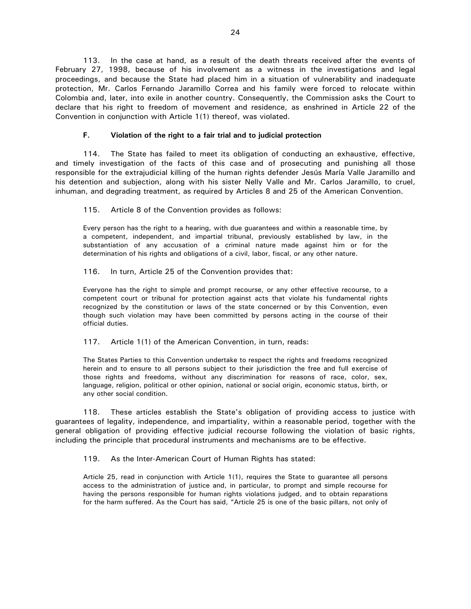113. In the case at hand, as a result of the death threats received after the events of February 27, 1998, because of his involvement as a witness in the investigations and legal proceedings, and because the State had placed him in a situation of vulnerability and inadequate protection, Mr. Carlos Fernando Jaramillo Correa and his family were forced to relocate within Colombia and, later, into exile in another country. Consequently, the Commission asks the Court to declare that his right to freedom of movement and residence, as enshrined in Article 22 of the Convention in conjunction with Article 1(1) thereof, was violated.

## **F. Violation of the right to a fair trial and to judicial protection**

114. The State has failed to meet its obligation of conducting an exhaustive, effective, and timely investigation of the facts of this case and of prosecuting and punishing all those responsible for the extrajudicial killing of the human rights defender Jesús María Valle Jaramillo and his detention and subjection, along with his sister Nelly Valle and Mr. Carlos Jaramillo, to cruel, inhuman, and degrading treatment, as required by Articles 8 and 25 of the American Convention.

115. Article 8 of the Convention provides as follows:

Every person has the right to a hearing, with due guarantees and within a reasonable time, by a competent, independent, and impartial tribunal, previously established by law, in the substantiation of any accusation of a criminal nature made against him or for the determination of his rights and obligations of a civil, labor, fiscal, or any other nature.

116. In turn, Article 25 of the Convention provides that:

Everyone has the right to simple and prompt recourse, or any other effective recourse, to a competent court or tribunal for protection against acts that violate his fundamental rights recognized by the constitution or laws of the state concerned or by this Convention, even though such violation may have been committed by persons acting in the course of their official duties.

117. Article 1(1) of the American Convention, in turn, reads:

The States Parties to this Convention undertake to respect the rights and freedoms recognized herein and to ensure to all persons subject to their jurisdiction the free and full exercise of those rights and freedoms, without any discrimination for reasons of race, color, sex, language, religion, political or other opinion, national or social origin, economic status, birth, or any other social condition.

118. These articles establish the State's obligation of providing access to justice with guarantees of legality, independence, and impartiality, within a reasonable period, together with the general obligation of providing effective judicial recourse following the violation of basic rights, including the principle that procedural instruments and mechanisms are to be effective.

119. As the Inter-American Court of Human Rights has stated:

Article 25, read in conjunction with Article 1(1), requires the State to guarantee all persons access to the administration of justice and, in particular, to prompt and simple recourse for having the persons responsible for human rights violations judged, and to obtain reparations for the harm suffered. As the Court has said, "Article 25 is one of the basic pillars, not only of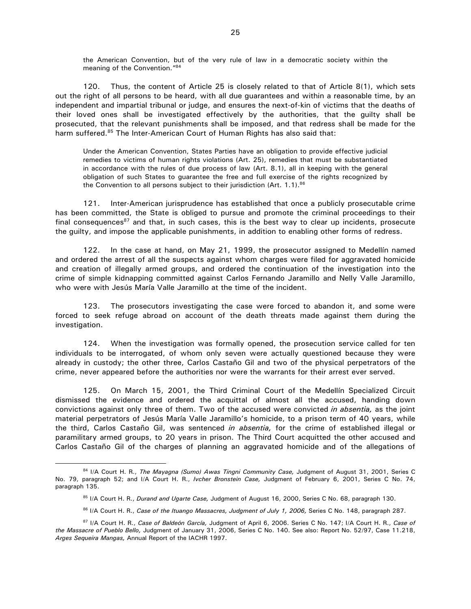the American Convention, but of the very rule of law in a democratic society within the meaning of the Convention."<sup>84</sup>

120. Thus, the content of Article 25 is closely related to that of Article 8(1), which sets out the right of all persons to be heard, with all due guarantees and within a reasonable time, by an independent and impartial tribunal or judge, and ensures the next-of-kin of victims that the deaths of their loved ones shall be investigated effectively by the authorities, that the guilty shall be prosecuted, that the relevant punishments shall be imposed, and that redress shall be made for the harm suffered.<sup>85</sup> The Inter-American Court of Human Rights has also said that:

Under the American Convention, States Parties have an obligation to provide effective judicial remedies to victims of human rights violations (Art. 25), remedies that must be substantiated in accordance with the rules of due process of law (Art. 8.1), all in keeping with the general obligation of such States to guarantee the free and full exercise of the rights recognized by the Convention to all persons subject to their jurisdiction (Art. 1.1).<sup>86</sup>

121. Inter-American jurisprudence has established that once a publicly prosecutable crime has been committed, the State is obliged to pursue and promote the criminal proceedings to their final consequences<sup>87</sup> and that, in such cases, this is the best way to clear up incidents, prosecute the guilty, and impose the applicable punishments, in addition to enabling other forms of redress.

122. In the case at hand, on May 21, 1999, the prosecutor assigned to Medellín named and ordered the arrest of all the suspects against whom charges were filed for aggravated homicide and creation of illegally armed groups, and ordered the continuation of the investigation into the crime of simple kidnapping committed against Carlos Fernando Jaramillo and Nelly Valle Jaramillo, who were with Jesús María Valle Jaramillo at the time of the incident.

123. The prosecutors investigating the case were forced to abandon it, and some were forced to seek refuge abroad on account of the death threats made against them during the investigation.

124. When the investigation was formally opened, the prosecution service called for ten individuals to be interrogated, of whom only seven were actually questioned because they were already in custody; the other three, Carlos Castaño Gil and two of the physical perpetrators of the crime, never appeared before the authorities nor were the warrants for their arrest ever served.

125. On March 15, 2001, the Third Criminal Court of the Medellín Specialized Circuit dismissed the evidence and ordered the acquittal of almost all the accused, handing down convictions against only three of them. Two of the accused were convicted *in absentia,* as the joint material perpetrators of Jesús María Valle Jaramillo's homicide, to a prison term of 40 years, while the third, Carlos Castaño Gil, was sentenced *in absentia,* for the crime of established illegal or paramilitary armed groups, to 20 years in prison. The Third Court acquitted the other accused and Carlos Castaño Gil of the charges of planning an aggravated homicide and of the allegations of

<sup>84</sup> I/A Court H. R., *The Mayagna (Sumo) Awas Tingni Community Case,* Judgment of August 31, 2001, Series C No. 79, paragraph 52; and I/A Court H. R., *Ivcher Bronstein Case,* Judgment of February 6, 2001, Series C No. 74, paragraph 135.

<sup>85</sup> I/A Court H. R., *Durand and Ugarte Case,* Judgment of August 16, 2000, Series C No. 68, paragraph 130.

<sup>86</sup> I/A Court H. R., *Case of the Ituango Massacres, Judgment of July 1, 2006,* Series C No. 148, paragraph 287.

<sup>87</sup> I/A Court H. R., *Case of Baldeón García,* Judgment of April 6, 2006. Series C No. 147; I/A Court H. R., *Case of the Massacre of Pueblo Bello,* Judgment of January 31, 2006, Series C No. 140. See also: Report No. 52/97, Case 11.218, *Arges Sequeira Mangas,* Annual Report of the IACHR 1997.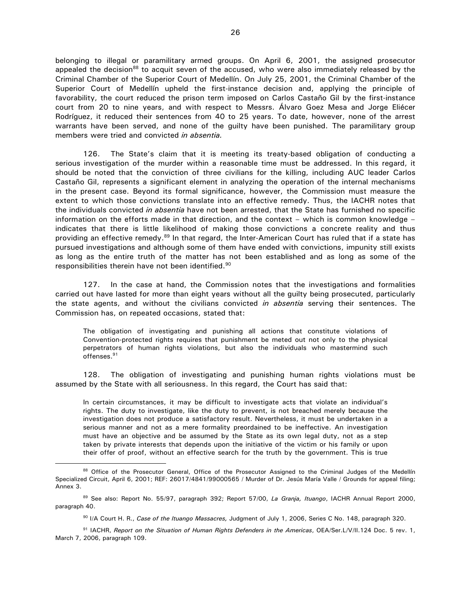belonging to illegal or paramilitary armed groups. On April 6, 2001, the assigned prosecutor appealed the decision<sup>88</sup> to acquit seven of the accused, who were also immediately released by the Criminal Chamber of the Superior Court of Medellín. On July 25, 2001, the Criminal Chamber of the Superior Court of Medellín upheld the first-instance decision and, applying the principle of favorability, the court reduced the prison term imposed on Carlos Castaño Gil by the first-instance court from 20 to nine years, and with respect to Messrs. Álvaro Goez Mesa and Jorge Eliécer Rodríguez, it reduced their sentences from 40 to 25 years. To date, however, none of the arrest warrants have been served, and none of the guilty have been punished. The paramilitary group members were tried and convicted *in absentia.*

126. The State's claim that it is meeting its treaty-based obligation of conducting a serious investigation of the murder within a reasonable time must be addressed. In this regard, it should be noted that the conviction of three civilians for the killing, including AUC leader Carlos Castaño Gil, represents a significant element in analyzing the operation of the internal mechanisms in the present case. Beyond its formal significance, however, the Commission must measure the extent to which those convictions translate into an effective remedy. Thus, the IACHR notes that the individuals convicted *in absentia* have not been arrested, that the State has furnished no specific information on the efforts made in that direction, and the context – which is common knowledge – indicates that there is little likelihood of making those convictions a concrete reality and thus providing an effective remedy.<sup>89</sup> In that regard, the Inter-American Court has ruled that if a state has pursued investigations and although some of them have ended with convictions, impunity still exists as long as the entire truth of the matter has not been established and as long as some of the responsibilities therein have not been identified.<sup>90</sup>

127. In the case at hand, the Commission notes that the investigations and formalities carried out have lasted for more than eight years without all the guilty being prosecuted, particularly the state agents, and without the civilians convicted *in absentia* serving their sentences. The Commission has, on repeated occasions, stated that:

The obligation of investigating and punishing all actions that constitute violations of Convention-protected rights requires that punishment be meted out not only to the physical perpetrators of human rights violations, but also the individuals who mastermind such offenses.<sup>91</sup>

128. The obligation of investigating and punishing human rights violations must be assumed by the State with all seriousness. In this regard, the Court has said that:

In certain circumstances, it may be difficult to investigate acts that violate an individual's rights. The duty to investigate, like the duty to prevent, is not breached merely because the investigation does not produce a satisfactory result. Nevertheless, it must be undertaken in a serious manner and not as a mere formality preordained to be ineffective. An investigation must have an objective and be assumed by the State as its own legal duty, not as a step taken by private interests that depends upon the initiative of the victim or his family or upon their offer of proof, without an effective search for the truth by the government. This is true

<sup>88</sup> Office of the Prosecutor General, Office of the Prosecutor Assigned to the Criminal Judges of the Medellín Specialized Circuit, April 6, 2001; REF: 26017/4841/99000565 / Murder of Dr. Jesús María Valle / Grounds for appeal filing; Annex 3.

<sup>89</sup> See also: Report No. 55/97, paragraph 392; Report 57/00, *La Granja, Ituango*, IACHR Annual Report 2000, paragraph 40.

<sup>90</sup> I/A Court H. R., *Case of the Ituango Massacres,* Judgment of July 1, 2006, Series C No. 148, paragraph 320.

<sup>91</sup> IACHR, *Report on the Situation of Human Rights Defenders in the Americas*, OEA/Ser.L/V/II.124 Doc. 5 rev. 1, March 7, 2006, paragraph 109.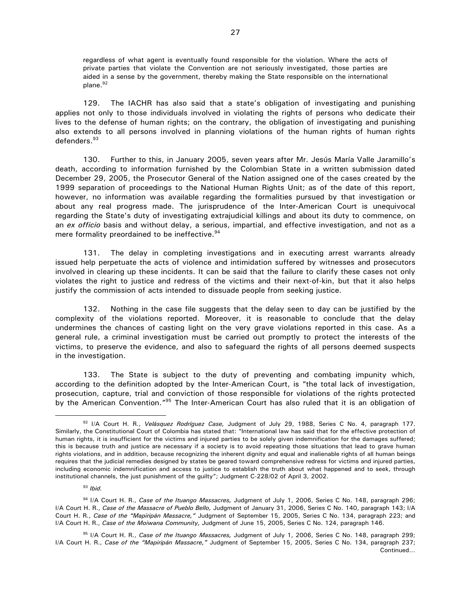regardless of what agent is eventually found responsible for the violation. Where the acts of private parties that violate the Convention are not seriously investigated, those parties are aided in a sense by the government, thereby making the State responsible on the international plane.<sup>92</sup>

129. The IACHR has also said that a state's obligation of investigating and punishing applies not only to those individuals involved in violating the rights of persons who dedicate their lives to the defense of human rights; on the contrary, the obligation of investigating and punishing also extends to all persons involved in planning violations of the human rights of human rights defenders.<sup>93</sup>

130. Further to this, in January 2005, seven years after Mr. Jesús María Valle Jaramillo's death, according to information furnished by the Colombian State in a written submission dated December 29, 2005, the Prosecutor General of the Nation assigned one of the cases created by the 1999 separation of proceedings to the National Human Rights Unit; as of the date of this report, however, no information was available regarding the formalities pursued by that investigation or about any real progress made. The jurisprudence of the Inter-American Court is unequivocal regarding the State's duty of investigating extrajudicial killings and about its duty to commence, on an *ex officio* basis and without delay, a serious, impartial, and effective investigation, and not as a mere formality preordained to be ineffective.<sup>94</sup>

131. The delay in completing investigations and in executing arrest warrants already issued help perpetuate the acts of violence and intimidation suffered by witnesses and prosecutors involved in clearing up these incidents. It can be said that the failure to clarify these cases not only violates the right to justice and redress of the victims and their next-of-kin, but that it also helps justify the commission of acts intended to dissuade people from seeking justice.

132. Nothing in the case file suggests that the delay seen to day can be justified by the complexity of the violations reported. Moreover, it is reasonable to conclude that the delay undermines the chances of casting light on the very grave violations reported in this case. As a general rule, a criminal investigation must be carried out promptly to protect the interests of the victims, to preserve the evidence, and also to safeguard the rights of all persons deemed suspects in the investigation.

133. The State is subject to the duty of preventing and combating impunity which, according to the definition adopted by the Inter-American Court, is "the total lack of investigation, prosecution, capture, trial and conviction of those responsible for violations of the rights protected by the American Convention."<sup>95</sup> The Inter-American Court has also ruled that it is an obligation of

<sup>92</sup> I/A Court H. R., *Velásquez Rodríguez Case,* Judgment of July 29, 1988, Series C No. 4, paragraph 177. Similarly, the Constitutional Court of Colombia has stated that: "International law has said that for the effective protection of human rights, it is insufficient for the victims and injured parties to be solely given indemnification for the damages suffered; this is because truth and justice are necessary if a society is to avoid repeating those situations that lead to grave human rights violations, and in addition, because recognizing the inherent dignity and equal and inalienable rights of all human beings requires that the judicial remedies designed by states be geared toward comprehensive redress for victims and injured parties, including economic indemnification and access to justice to establish the truth about what happened and to seek, through institutional channels, the just punishment of the guilty"; Judgment C-228/02 of April 3, 2002.

<sup>93</sup> *Ibid.*

<sup>94</sup> I/A Court H. R., *Case of the Ituango Massacres,* Judgment of July 1, 2006, Series C No. 148, paragraph 296; I/A Court H. R., *Case of the Massacre of Pueblo Bello,* Judgment of January 31, 2006, Series C No. 140, paragraph 143; I/A Court H. R., *Case of the "Mapiripán Massacre,"* Judgment of September 15, 2005, Series C No. 134, paragraph 223; and I/A Court H. R., *Case of the Moiwana Community,* Judgment of June 15, 2005, Series C No. 124, paragraph 146.

<sup>95</sup> I/A Court H. R., *Case of the Ituango Massacres,* Judgment of July 1, 2006, Series C No. 148, paragraph 299; I/A Court H. R., *Case of the "Mapiripán Massacre,"* Judgment of September 15, 2005, Series C No. 134, paragraph 237; Continued…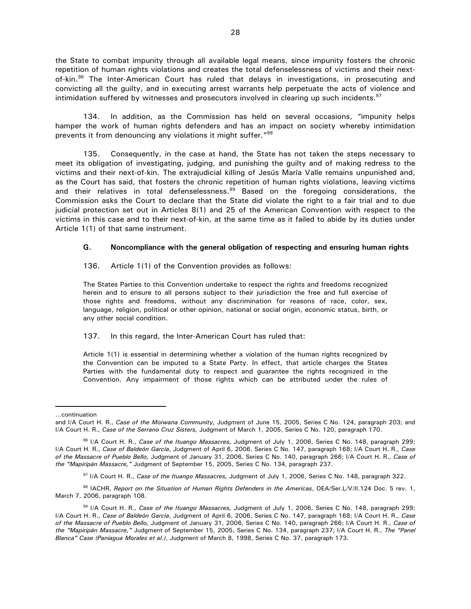the State to combat impunity through all available legal means, since impunity fosters the chronic repetition of human rights violations and creates the total defenselessness of victims and their nextof-kin.<sup>96</sup> The Inter-American Court has ruled that delays in investigations, in prosecuting and convicting all the guilty, and in executing arrest warrants help perpetuate the acts of violence and intimidation suffered by witnesses and prosecutors involved in clearing up such incidents. $97$ 

134. In addition, as the Commission has held on several occasions, "impunity helps hamper the work of human rights defenders and has an impact on society whereby intimidation prevents it from denouncing any violations it might suffer."<sup>98</sup>

135. Consequently, in the case at hand, the State has not taken the steps necessary to meet its obligation of investigating, judging, and punishing the guilty and of making redress to the victims and their next-of-kin. The extrajudicial killing of Jesús María Valle remains unpunished and, as the Court has said, that fosters the chronic repetition of human rights violations, leaving victims and their relatives in total defenselessness.<sup>99</sup> Based on the foregoing considerations, the Commission asks the Court to declare that the State did violate the right to a fair trial and to due judicial protection set out in Articles 8(1) and 25 of the American Convention with respect to the victims in this case and to their next-of-kin, at the same time as it failed to abide by its duties under Article 1(1) of that same instrument.

#### **G. Noncompliance with the general obligation of respecting and ensuring human rights**

136. Article 1(1) of the Convention provides as follows:

The States Parties to this Convention undertake to respect the rights and freedoms recognized herein and to ensure to all persons subject to their jurisdiction the free and full exercise of those rights and freedoms, without any discrimination for reasons of race, color, sex, language, religion, political or other opinion, national or social origin, economic status, birth, or any other social condition.

#### 137. In this regard, the Inter-American Court has ruled that:

Article 1(1) is essential in determining whether a violation of the human rights recognized by the Convention can be imputed to a State Party. In effect, that article charges the States Parties with the fundamental duty to respect and guarantee the rights recognized in the Convention. Any impairment of those rights which can be attributed under the rules of

<sup>…</sup>continuation

and I/A Court H. R., *Case of the Moiwana Community,* Judgment of June 15, 2005, Series C No. 124, paragraph 203; and I/A Court H. R., *Case of the Serrano Cruz Sisters,* Judgment of March 1, 2005, Series C No. 120, paragraph 170.

<sup>96</sup> I/A Court H. R., *Case of the Ituango Massacres,* Judgment of July 1, 2006, Series C No. 148, paragraph 299; I/A Court H. R., *Case of Baldeón García*, Judgment of April 6, 2006. Series C No. 147, paragraph 168; I/A Court H. R., *Case of the Massacre of Pueblo Bello,* Judgment of January 31, 2006, Series C No. 140, paragraph 266; I/A Court H. R., *Case of the "Mapiripán Massacre,"* Judgment of September 15, 2005, Series C No. 134, paragraph 237.

<sup>97</sup> I/A Court H. R., *Case of the Ituango Massacres,* Judgment of July 1, 2006, Series C No. 148, paragraph 322.

<sup>98</sup> IACHR, *Report on the Situation of Human Rights Defenders in the Americas*, OEA/Ser.L/V/II.124 Doc. 5 rev. 1, March 7, 2006, paragraph 108.

<sup>99</sup> I/A Court H. R., *Case of the Ituango Massacres,* Judgment of July 1, 2006, Series C No. 148, paragraph 299; I/A Court H. R., *Case of Baldeón García*, Judgment of April 6, 2006, Series C No. 147, paragraph 168; I/A Court H. R., *Case of the Massacre of Pueblo Bello,* Judgment of January 31, 2006, Series C No. 140, paragraph 266; I/A Court H. R., *Case of the "Mapiripán Massacre,"* Judgment of September 15, 2005, Series C No. 134, paragraph 237; I/A Court H. R., *The "Panel Blanca" Case (Paniagua Morales et al.)*, Judgment of March 8, 1998, Series C No. 37, paragraph 173.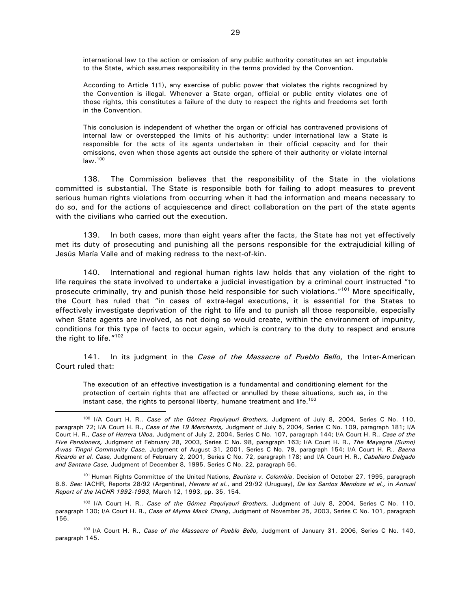international law to the action or omission of any public authority constitutes an act imputable to the State, which assumes responsibility in the terms provided by the Convention.

According to Article 1(1), any exercise of public power that violates the rights recognized by the Convention is illegal. Whenever a State organ, official or public entity violates one of those rights, this constitutes a failure of the duty to respect the rights and freedoms set forth in the Convention.

This conclusion is independent of whether the organ or official has contravened provisions of internal law or overstepped the limits of his authority: under international law a State is responsible for the acts of its agents undertaken in their official capacity and for their omissions, even when those agents act outside the sphere of their authority or violate internal law.<sup>100</sup>

138. The Commission believes that the responsibility of the State in the violations committed is substantial. The State is responsible both for failing to adopt measures to prevent serious human rights violations from occurring when it had the information and means necessary to do so, and for the actions of acquiescence and direct collaboration on the part of the state agents with the civilians who carried out the execution.

139. In both cases, more than eight years after the facts, the State has not yet effectively met its duty of prosecuting and punishing all the persons responsible for the extrajudicial killing of Jesús María Valle and of making redress to the next-of-kin.

140. International and regional human rights law holds that any violation of the right to life requires the state involved to undertake a judicial investigation by a criminal court instructed "to prosecute criminally, try and punish those held responsible for such violations."<sup>101</sup> More specifically, the Court has ruled that "in cases of extra-legal executions, it is essential for the States to effectively investigate deprivation of the right to life and to punish all those responsible, especially when State agents are involved, as not doing so would create, within the environment of impunity, conditions for this type of facts to occur again, which is contrary to the duty to respect and ensure the right to life."<sup>102</sup>

141. In its judgment in the *Case of the Massacre of Pueblo Bello,* the Inter-American Court ruled that:

The execution of an effective investigation is a fundamental and conditioning element for the protection of certain rights that are affected or annulled by these situations, such as, in the instant case, the rights to personal liberty, humane treatment and life.<sup>103</sup>

<sup>100</sup> I/A Court H. R., *Case of the Gómez Paquiyauri Brothers,* Judgment of July 8, 2004, Series C No. 110, paragraph 72; I/A Court H. R., *Case of the 19 Merchants,* Judgment of July 5, 2004, Series C No. 109, paragraph 181; I/A Court H. R., *Case of Herrera Ulloa,* Judgment of July 2, 2004, Series C No. 107, paragraph 144; I/A Court H. R., *Case of the Five Pensioners,* Judgment of February 28, 2003, Series C No. 98, paragraph 163; I/A Court H. R., *The Mayagna (Sumo) Awas Tingni Community Case,* Judgment of August 31, 2001, Series C No. 79, paragraph 154; I/A Court H. R., *Baena Ricardo et al. Case,* Judgment of February 2, 2001, Series C No. 72, paragraph 178; and I/A Court H. R., *Caballero Delgado and Santana Case,* Judgment of December 8, 1995, Series C No. 22, paragraph 56.

<sup>&</sup>lt;sup>101</sup> Human Rights Committee of the United Nations, *Bautista v. Colombia*, Decision of October 27, 1995, paragraph 8.6. *See:* IACHR, Reports 28/92 (Argentina), *Herrera et al.*, and 29/92 (Uruguay), *De los Santos Mendoza et al.,* in *Annual Report of the IACHR 1992-1993*, March 12, 1993, pp. 35, 154.

<sup>102</sup> I/A Court H. R., *Case of the Gómez Paquiyauri Brothers,* Judgment of July 8, 2004, Series C No. 110, paragraph 130; I/A Court H. R., *Case of Myrna Mack Chang*, Judgment of November 25, 2003, Series C No. 101, paragraph 156.

<sup>103</sup>I/A Court H. R., *Case of the Massacre of Pueblo Bello,* Judgment of January 31, 2006, Series C No. 140, paragraph 145.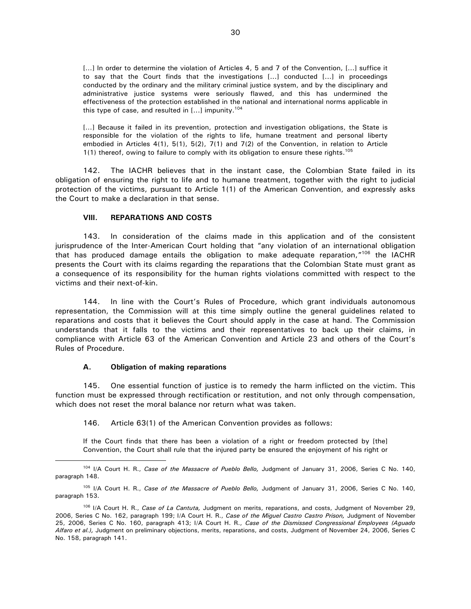[...] In order to determine the violation of Articles 4, 5 and 7 of the Convention, [...] suffice it to say that the Court finds that the investigations [...] conducted [...] in proceedings conducted by the ordinary and the military criminal justice system, and by the disciplinary and administrative justice systems were seriously flawed, and this has undermined the effectiveness of the protection established in the national and international norms applicable in this type of case, and resulted in  $[...]$  impunity.<sup>104</sup>

[...] Because it failed in its prevention, protection and investigation obligations, the State is responsible for the violation of the rights to life, humane treatment and personal liberty embodied in Articles 4(1), 5(1), 5(2), 7(1) and 7(2) of the Convention, in relation to Article 1(1) thereof, owing to failure to comply with its obligation to ensure these rights.<sup>105</sup>

142. The IACHR believes that in the instant case, the Colombian State failed in its obligation of ensuring the right to life and to humane treatment, together with the right to judicial protection of the victims, pursuant to Article 1(1) of the American Convention, and expressly asks the Court to make a declaration in that sense.

#### **VIII. REPARATIONS AND COSTS**

143. In consideration of the claims made in this application and of the consistent jurisprudence of the Inter-American Court holding that "any violation of an international obligation that has produced damage entails the obligation to make adequate reparation, $r^{106}$  the IACHR presents the Court with its claims regarding the reparations that the Colombian State must grant as a consequence of its responsibility for the human rights violations committed with respect to the victims and their next-of-kin.

144. In line with the Court's Rules of Procedure, which grant individuals autonomous representation, the Commission will at this time simply outline the general guidelines related to reparations and costs that it believes the Court should apply in the case at hand. The Commission understands that it falls to the victims and their representatives to back up their claims, in compliance with Article 63 of the American Convention and Article 23 and others of the Court's Rules of Procedure.

#### **A. Obligation of making reparations**

 $\overline{a}$ 

145. One essential function of justice is to remedy the harm inflicted on the victim. This function must be expressed through rectification or restitution, and not only through compensation, which does not reset the moral balance nor return what was taken.

146. Article 63(1) of the American Convention provides as follows:

If the Court finds that there has been a violation of a right or freedom protected by [the] Convention, the Court shall rule that the injured party be ensured the enjoyment of his right or

<sup>104</sup> I/A Court H. R., *Case of the Massacre of Pueblo Bello,* Judgment of January 31, 2006, Series C No. 140, paragraph 148.

<sup>105</sup> I/A Court H. R., *Case of the Massacre of Pueblo Bello,* Judgment of January 31, 2006, Series C No. 140, paragraph 153.

<sup>106</sup> I/A Court H. R., *Case of La Cantuta,* Judgment on merits, reparations, and costs, Judgment of November 29, 2006, Series C No. 162, paragraph 199; I/A Court H. R., *Case of the Miguel Castro Castro Prison,* Judgment of November 25, 2006, Series C No. 160, paragraph 413; I/A Court H. R., *Case of the Dismissed Congressional Employees (Aguado Alfaro et al.),* Judgment on preliminary objections, merits, reparations, and costs, Judgment of November 24, 2006, Series C No. 158, paragraph 141.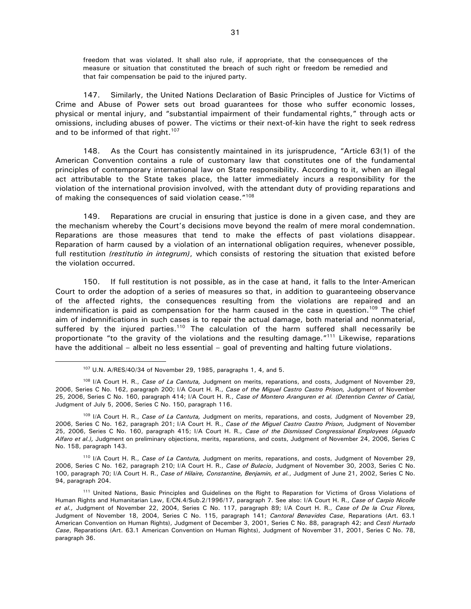freedom that was violated. It shall also rule, if appropriate, that the consequences of the measure or situation that constituted the breach of such right or freedom be remedied and that fair compensation be paid to the injured party.

147. Similarly, the United Nations Declaration of Basic Principles of Justice for Victims of Crime and Abuse of Power sets out broad guarantees for those who suffer economic losses, physical or mental injury, and "substantial impairment of their fundamental rights," through acts or omissions, including abuses of power. The victims or their next-of-kin have the right to seek redress and to be informed of that right.<sup>107</sup>

148. As the Court has consistently maintained in its jurisprudence, "Article 63(1) of the American Convention contains a rule of customary law that constitutes one of the fundamental principles of contemporary international law on State responsibility. According to it, when an illegal act attributable to the State takes place, the latter immediately incurs a responsibility for the violation of the international provision involved, with the attendant duty of providing reparations and of making the consequences of said violation cease."<sup>108</sup>

149. Reparations are crucial in ensuring that justice is done in a given case, and they are the mechanism whereby the Court's decisions move beyond the realm of mere moral condemnation. Reparations are those measures that tend to make the effects of past violations disappear. Reparation of harm caused by a violation of an international obligation requires, whenever possible, full restitution *(restitutio in integrum)*, which consists of restoring the situation that existed before the violation occurred.

150. If full restitution is not possible, as in the case at hand, it falls to the Inter-American Court to order the adoption of a series of measures so that, in addition to guaranteeing observance of the affected rights, the consequences resulting from the violations are repaired and an indemnification is paid as compensation for the harm caused in the case in question.<sup>109</sup> The chief aim of indemnifications in such cases is to repair the actual damage, both material and nonmaterial, suffered by the injured parties.<sup>110</sup> The calculation of the harm suffered shall necessarily be proportionate "to the gravity of the violations and the resulting damage."<sup>111</sup> Likewise, reparations have the additional – albeit no less essential – goal of preventing and halting future violations.

 $\overline{a}$ 

<sup>110</sup> I/A Court H. R., *Case of La Cantuta,* Judgment on merits, reparations, and costs, Judgment of November 29, 2006, Series C No. 162, paragraph 210; I/A Court H. R., *Case of Bulacio*, Judgment of November 30, 2003, Series C No. 100, paragraph 70; I/A Court H. R., *Case of Hilaire, Constantine, Benjamin, et al.*, Judgment of June 21, 2002, Series C No. 94, paragraph 204.

<sup>107</sup> U.N. A/RES/40/34 of November 29, 1985, paragraphs 1, 4, and 5.

<sup>108</sup> I/A Court H. R., *Case of La Cantuta,* Judgment on merits, reparations, and costs, Judgment of November 29, 2006, Series C No. 162, paragraph 200; I/A Court H. R., *Case of the Miguel Castro Castro Prison,* Judgment of November 25, 2006, Series C No. 160, paragraph 414; I/A Court H. R., *Case of Montero Aranguren et al. (Detention Center of Catia),* Judgment of July 5, 2006, Series C No. 150, paragraph 116.

<sup>109</sup> I/A Court H. R., *Case of La Cantuta,* Judgment on merits, reparations, and costs, Judgment of November 29, 2006, Series C No. 162, paragraph 201; I/A Court H. R., *Case of the Miguel Castro Castro Prison,* Judgment of November 25, 2006, Series C No. 160, paragraph 415; I/A Court H. R., *Case of the Dismissed Congressional Employees (Aguado Alfaro et al.),* Judgment on preliminary objections, merits, reparations, and costs, Judgment of November 24, 2006, Series C No. 158, paragraph 143.

<sup>&</sup>lt;sup>111</sup> United Nations, Basic Principles and Guidelines on the Right to Reparation for Victims of Gross Violations of Human Rights and Humanitarian Law, E/CN.4/Sub.2/1996/17, paragraph 7. See also: I/A Court H. R., *Case of Carpio Nicolle et al.,* Judgment of November 22, 2004, Series C No. 117, paragraph 89; I/A Court H. R., *Case of De la Cruz Flores,* Judgment of November 18, 2004, Series C No. 115, paragraph 141; *Cantoral Benavides Case*, Reparations (Art. 63.1 American Convention on Human Rights), Judgment of December 3, 2001, Series C No. 88, paragraph 42; and *Cesti Hurtado Case*, Reparations (Art. 63.1 American Convention on Human Rights), Judgment of November 31, 2001, Series C No. 78, paragraph 36.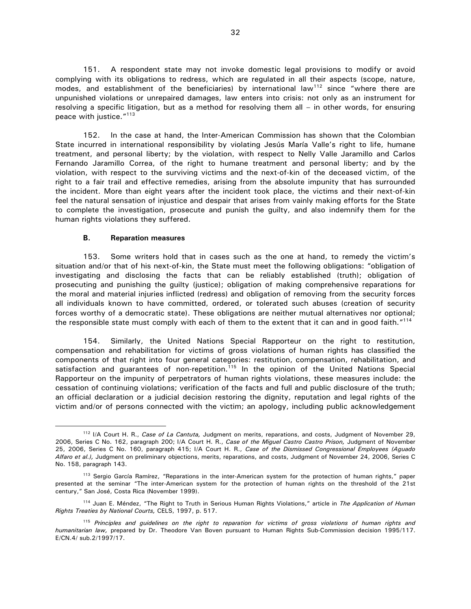151. A respondent state may not invoke domestic legal provisions to modify or avoid complying with its obligations to redress, which are regulated in all their aspects (scope, nature, modes, and establishment of the beneficiaries) by international law<sup>112</sup> since "where there are unpunished violations or unrepaired damages, law enters into crisis: not only as an instrument for resolving a specific litigation, but as a method for resolving them all – in other words, for ensuring peace with justice."<sup>113</sup>

152. In the case at hand, the Inter-American Commission has shown that the Colombian State incurred in international responsibility by violating Jesús María Valle's right to life, humane treatment, and personal liberty; by the violation, with respect to Nelly Valle Jaramillo and Carlos Fernando Jaramillo Correa, of the right to humane treatment and personal liberty; and by the violation, with respect to the surviving victims and the next-of-kin of the deceased victim, of the right to a fair trail and effective remedies, arising from the absolute impunity that has surrounded the incident. More than eight years after the incident took place, the victims and their next-of-kin feel the natural sensation of injustice and despair that arises from vainly making efforts for the State to complete the investigation, prosecute and punish the guilty, and also indemnify them for the human rights violations they suffered.

#### **B. Reparation measures**

 $\overline{a}$ 

153. Some writers hold that in cases such as the one at hand, to remedy the victim's situation and/or that of his next-of-kin, the State must meet the following obligations: "obligation of investigating and disclosing the facts that can be reliably established (truth); obligation of prosecuting and punishing the guilty (justice); obligation of making comprehensive reparations for the moral and material injuries inflicted (redress) and obligation of removing from the security forces all individuals known to have committed, ordered, or tolerated such abuses (creation of security forces worthy of a democratic state). These obligations are neither mutual alternatives nor optional; the responsible state must comply with each of them to the extent that it can and in good faith."<sup>114</sup>

154. Similarly, the United Nations Special Rapporteur on the right to restitution, compensation and rehabilitation for victims of gross violations of human rights has classified the components of that right into four general categories: restitution, compensation, rehabilitation, and satisfaction and quarantees of non-repetition.<sup>115</sup> In the opinion of the United Nations Special Rapporteur on the impunity of perpetrators of human rights violations, these measures include: the cessation of continuing violations; verification of the facts and full and public disclosure of the truth; an official declaration or a judicial decision restoring the dignity, reputation and legal rights of the victim and/or of persons connected with the victim; an apology, including public acknowledgement

<sup>112</sup> I/A Court H. R., *Case of La Cantuta,* Judgment on merits, reparations, and costs, Judgment of November 29, 2006, Series C No. 162, paragraph 200; I/A Court H. R., *Case of the Miguel Castro Castro Prison,* Judgment of November 25, 2006, Series C No. 160, paragraph 415; I/A Court H. R., *Case of the Dismissed Congressional Employees (Aguado Alfaro et al.),* Judgment on preliminary objections, merits, reparations, and costs, Judgment of November 24, 2006, Series C No. 158, paragraph 143.

<sup>&</sup>lt;sup>113</sup> Sergio García Ramírez, "Reparations in the inter-American system for the protection of human rights," paper presented at the seminar "The inter-American system for the protection of human rights on the threshold of the 21st century," San José, Costa Rica (November 1999).

<sup>114</sup> Juan E. Méndez, "The Right to Truth in Serious Human Rights Violations," article in *The Application of Human Rights Treaties by National Courts,* CELS, 1997, p. 517.

<sup>115</sup> *Principles and guidelines on the right to reparation for victims of gross violations of human rights and humanitarian law,* prepared by Dr. Theodore Van Boven pursuant to Human Rights Sub-Commission decision 1995/117. E/CN.4/ sub.2/1997/17.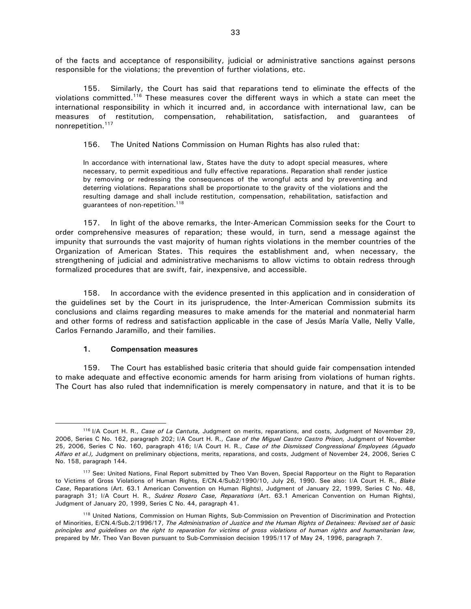of the facts and acceptance of responsibility, judicial or administrative sanctions against persons responsible for the violations; the prevention of further violations, etc.

155. Similarly, the Court has said that reparations tend to eliminate the effects of the violations committed.<sup>116</sup> These measures cover the different ways in which a state can meet the international responsibility in which it incurred and, in accordance with international law, can be measures of restitution, compensation, rehabilitation, satisfaction, and guarantees of nonrepetition.<sup>117</sup>

156. The United Nations Commission on Human Rights has also ruled that:

In accordance with international law, States have the duty to adopt special measures, where necessary, to permit expeditious and fully effective reparations. Reparation shall render justice by removing or redressing the consequences of the wrongful acts and by preventing and deterring violations. Reparations shall be proportionate to the gravity of the violations and the resulting damage and shall include restitution, compensation, rehabilitation, satisfaction and guarantees of non-repetition.<sup>118</sup>

157. In light of the above remarks, the Inter-American Commission seeks for the Court to order comprehensive measures of reparation; these would, in turn, send a message against the impunity that surrounds the vast majority of human rights violations in the member countries of the Organization of American States. This requires the establishment and, when necessary, the strengthening of judicial and administrative mechanisms to allow victims to obtain redress through formalized procedures that are swift, fair, inexpensive, and accessible.

158. In accordance with the evidence presented in this application and in consideration of the guidelines set by the Court in its jurisprudence, the Inter-American Commission submits its conclusions and claims regarding measures to make amends for the material and nonmaterial harm and other forms of redress and satisfaction applicable in the case of Jesús María Valle, Nelly Valle, Carlos Fernando Jaramillo, and their families.

#### **1. Compensation measures**

 $\overline{a}$ 

159. The Court has established basic criteria that should guide fair compensation intended to make adequate and effective economic amends for harm arising from violations of human rights. The Court has also ruled that indemnification is merely compensatory in nature, and that it is to be

<sup>&</sup>lt;sup>116</sup> I/A Court H. R., *Case of La Cantuta,* Judgment on merits, reparations, and costs, Judgment of November 29, 2006, Series C No. 162, paragraph 202; I/A Court H. R., *Case of the Miguel Castro Castro Prison,* Judgment of November 25, 2006, Series C No. 160, paragraph 416; I/A Court H. R., *Case of the Dismissed Congressional Employees (Aguado Alfaro et al.),* Judgment on preliminary objections, merits, reparations, and costs, Judgment of November 24, 2006, Series C No. 158, paragraph 144.

<sup>&</sup>lt;sup>117</sup> See: United Nations, Final Report submitted by Theo Van Boven, Special Rapporteur on the Right to Reparation to Victims of Gross Violations of Human Rights, E/CN.4/Sub2/1990/10, July 26, 1990. See also: I/A Court H. R., *Blake Case*, Reparations (Art. 63.1 American Convention on Human Rights), Judgment of January 22, 1999, Series C No. 48, paragraph 31; I/A Court H. R., *Suárez Rosero Case, Reparations* (Art. 63.1 American Convention on Human Rights), Judgment of January 20, 1999, Series C No. 44, paragraph 41.

<sup>&</sup>lt;sup>118</sup> United Nations, Commission on Human Rights, Sub-Commission on Prevention of Discrimination and Protection of Minorities, E/CN.4/Sub.2/1996/17, *The Administration of Justice and the Human Rights of Detainees: Revised set of basic principles and guidelines on the right to reparation for victims of gross violations of human rights and humanitarian law,* prepared by Mr. Theo Van Boven pursuant to Sub-Commission decision 1995/117 of May 24, 1996, paragraph 7.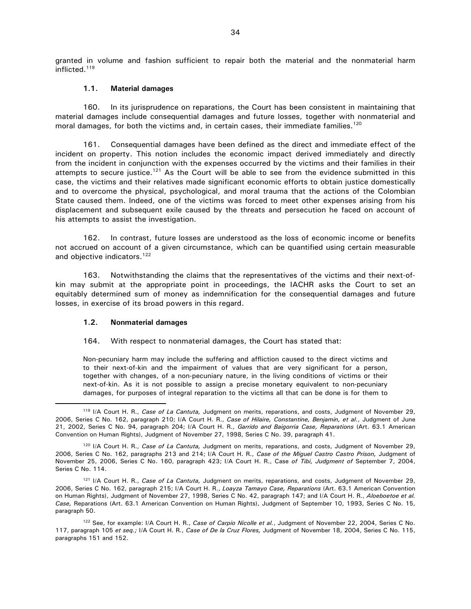granted in volume and fashion sufficient to repair both the material and the nonmaterial harm inflicted.<sup>119</sup>

#### **1.1. Material damages**

160. In its jurisprudence on reparations, the Court has been consistent in maintaining that material damages include consequential damages and future losses, together with nonmaterial and moral damages, for both the victims and, in certain cases, their immediate families.<sup>120</sup>

161. Consequential damages have been defined as the direct and immediate effect of the incident on property. This notion includes the economic impact derived immediately and directly from the incident in conjunction with the expenses occurred by the victims and their families in their attempts to secure justice.<sup>121</sup> As the Court will be able to see from the evidence submitted in this case, the victims and their relatives made significant economic efforts to obtain justice domestically and to overcome the physical, psychological, and moral trauma that the actions of the Colombian State caused them. Indeed, one of the victims was forced to meet other expenses arising from his displacement and subsequent exile caused by the threats and persecution he faced on account of his attempts to assist the investigation.

162. In contrast, future losses are understood as the loss of economic income or benefits not accrued on account of a given circumstance, which can be quantified using certain measurable and objective indicators.<sup>122</sup>

163. Notwithstanding the claims that the representatives of the victims and their next-ofkin may submit at the appropriate point in proceedings, the IACHR asks the Court to set an equitably determined sum of money as indemnification for the consequential damages and future losses, in exercise of its broad powers in this regard.

#### **1.2. Nonmaterial damages**

 $\overline{a}$ 

#### 164. With respect to nonmaterial damages, the Court has stated that:

Non-pecuniary harm may include the suffering and affliction caused to the direct victims and to their next-of-kin and the impairment of values that are very significant for a person, together with changes, of a non-pecuniary nature, in the living conditions of victims or their next-of-kin. As it is not possible to assign a precise monetary equivalent to non-pecuniary damages, for purposes of integral reparation to the victims all that can be done is for them to

<sup>119</sup> I/A Court H. R., *Case of La Cantuta,* Judgment on merits, reparations, and costs, Judgment of November 29, 2006, Series C No. 162, paragraph 210; I/A Court H. R., *Case of Hilaire, Constantine, Benjamin, et al.*, Judgment of June 21, 2002, Series C No. 94, paragraph 204; I/A Court H. R., *Garrido and Baigorria Case, Reparations* (Art. 63.1 American Convention on Human Rights), Judgment of November 27, 1998, Series C No. 39, paragraph 41.

<sup>120</sup> I/A Court H. R., *Case of La Cantuta,* Judgment on merits, reparations, and costs, Judgment of November 29, 2006, Series C No. 162, paragraphs 213 and 214; I/A Court H. R., *Case of the Miguel Castro Castro Prison,* Judgment of November 25, 2006, Series C No. 160, paragraph 423; I/A Court H. R., Case *of Tibi, Judgment of* September 7, 2004, Series C No. 114.

<sup>121</sup> I/A Court H. R., *Case of La Cantuta,* Judgment on merits, reparations, and costs, Judgment of November 29, 2006, Series C No. 162, paragraph 215; I/A Court H. R., *Loayza Tamayo Case, Reparations* (Art. 63.1 American Convention on Human Rights), Judgment of November 27, 1998, Series C No. 42, paragraph 147; and I/A Court H. R., *Aloeboetoe et al. Case,* Reparations (Art. 63.1 American Convention on Human Rights), Judgment of September 10, 1993, Series C No. 15, paragraph 50.

<sup>122</sup> See, for example: I/A Court H. R., *Case of Carpio Nicolle et al.*, Judgment of November 22, 2004, Series C No. 117, paragraph 105 *et seq.;* I/A Court H. R., *Case of De la Cruz Flores,* Judgment of November 18, 2004, Series C No. 115, paragraphs 151 and 152.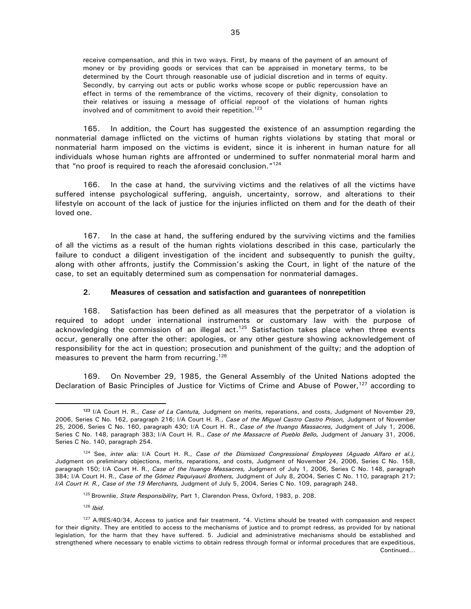receive compensation, and this in two ways. First, by means of the payment of an amount of money or by providing goods or services that can be appraised in monetary terms, to be determined by the Court through reasonable use of judicial discretion and in terms of equity. Secondly, by carrying out acts or public works whose scope or public repercussion have an effect in terms of the remembrance of the victims, recovery of their dignity, consolation to their relatives or issuing a message of official reproof of the violations of human rights involved and of commitment to avoid their repetition.<sup>123</sup>

165. In addition, the Court has suggested the existence of an assumption regarding the nonmaterial damage inflicted on the victims of human rights violations by stating that moral or nonmaterial harm imposed on the victims is evident, since it is inherent in human nature for all individuals whose human rights are affronted or undermined to suffer nonmaterial moral harm and that "no proof is required to reach the aforesaid conclusion."<sup>124</sup>

166. In the case at hand, the surviving victims and the relatives of all the victims have suffered intense psychological suffering, anguish, uncertainty, sorrow, and alterations to their lifestyle on account of the lack of justice for the injuries inflicted on them and for the death of their loved one.

167. In the case at hand, the suffering endured by the surviving victims and the families of all the victims as a result of the human rights violations described in this case, particularly the failure to conduct a diligent investigation of the incident and subsequently to punish the quilty, along with other affronts, justify the Commission's asking the Court, in light of the nature of the case, to set an equitably determined sum as compensation for nonmaterial damages.

#### **2. Measures of cessation and satisfaction and guarantees of nonrepetition**

168. Satisfaction has been defined as all measures that the perpetrator of a violation is required to adopt under international instruments or customary law with the purpose of acknowledging the commission of an illegal act.<sup>125</sup> Satisfaction takes place when three events occur, generally one after the other: apologies, or any other gesture showing acknowledgement of responsibility for the act in question; prosecution and punishment of the guilty; and the adoption of measures to prevent the harm from recurring.<sup>126</sup>

169. On November 29, 1985, the General Assembly of the United Nations adopted the Declaration of Basic Principles of Justice for Victims of Crime and Abuse of Power,<sup>127</sup> according to

<sup>126</sup> *Ibid.*

**<sup>123</sup>** I/A Court H. R., *Case of La Cantuta,* Judgment on merits, reparations, and costs, Judgment of November 29, 2006, Series C No. 162, paragraph 216; I/A Court H. R., *Case of the Miguel Castro Castro Prison,* Judgment of November 25, 2006, Series C No. 160, paragraph 430; I/A Court H. R., *Case of the Ituango Massacres,* Judgment of July 1, 2006, Series C No. 148, paragraph 383; I/A Court H. R., *Case of the Massacre of Pueblo Bello,* Judgment of January 31, 2006, Series C No. 140, paragraph 254.

<sup>124</sup> See, *inter alia:* I/A Court H. R., *Case of the Dismissed Congressional Employees (Aguado Alfaro et al.),*  Judgment on preliminary objections, merits, reparations, and costs, Judgment of November 24, 2006, Series C No. 158, paragraph 150; I/A Court H. R., *Case of the Ituango Massacres,* Judgment of July 1, 2006, Series C No. 148, paragraph 384; I/A Court H. R., *Case of the Gómez Paquiyauri Brothers,* Judgment of July 8, 2004, Series C No. 110, paragraph 217; *I/A Court H. R., Case of the 19 Merchants,* Judgment of July 5, 2004, Series C No. 109, paragraph 248.

<sup>&</sup>lt;sup>125</sup> Brownlie, *State Responsibility*, Part 1, Clarendon Press, Oxford, 1983, p. 208.

<sup>&</sup>lt;sup>127</sup> A/RES/40/34, Access to justice and fair treatment. "4. Victims should be treated with compassion and respect for their dignity. They are entitled to access to the mechanisms of justice and to prompt redress, as provided for by national legislation, for the harm that they have suffered. 5. Judicial and administrative mechanisms should be established and strengthened where necessary to enable victims to obtain redress through formal or informal procedures that are expeditious, Continued…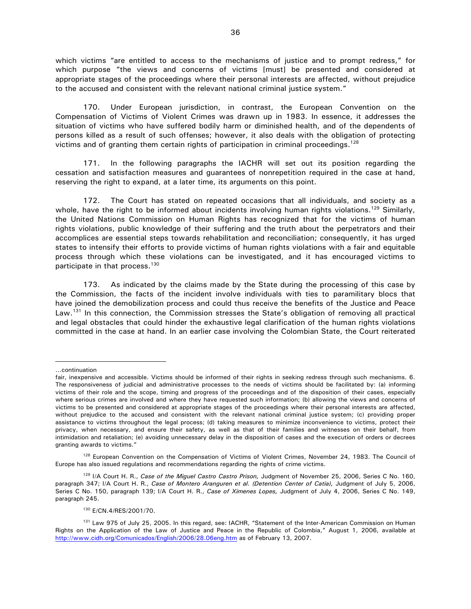which victims "are entitled to access to the mechanisms of justice and to prompt redress," for which purpose "the views and concerns of victims [must] be presented and considered at appropriate stages of the proceedings where their personal interests are affected, without prejudice to the accused and consistent with the relevant national criminal justice system."

170. Under European jurisdiction, in contrast, the European Convention on the Compensation of Victims of Violent Crimes was drawn up in 1983. In essence, it addresses the situation of victims who have suffered bodily harm or diminished health, and of the dependents of persons killed as a result of such offenses; however, it also deals with the obligation of protecting victims and of granting them certain rights of participation in criminal proceedings.<sup>128</sup>

171. In the following paragraphs the IACHR will set out its position regarding the cessation and satisfaction measures and guarantees of nonrepetition required in the case at hand, reserving the right to expand, at a later time, its arguments on this point.

172. The Court has stated on repeated occasions that all individuals, and society as a whole, have the right to be informed about incidents involving human rights violations.<sup>129</sup> Similarly, the United Nations Commission on Human Rights has recognized that for the victims of human rights violations, public knowledge of their suffering and the truth about the perpetrators and their accomplices are essential steps towards rehabilitation and reconciliation; consequently, it has urged states to intensify their efforts to provide victims of human rights violations with a fair and equitable process through which these violations can be investigated, and it has encouraged victims to participate in that process.<sup>130</sup>

173. As indicated by the claims made by the State during the processing of this case by the Commission, the facts of the incident involve individuals with ties to paramilitary blocs that have joined the demobilization process and could thus receive the benefits of the Justice and Peace Law.<sup>131</sup> In this connection, the Commission stresses the State's obligation of removing all practical and legal obstacles that could hinder the exhaustive legal clarification of the human rights violations committed in the case at hand. In an earlier case involving the Colombian State, the Court reiterated

<sup>…</sup>continuation

fair, inexpensive and accessible. Victims should be informed of their rights in seeking redress through such mechanisms. 6. The responsiveness of judicial and administrative processes to the needs of victims should be facilitated by: (a) informing victims of their role and the scope, timing and progress of the proceedings and of the disposition of their cases, especially where serious crimes are involved and where they have requested such information; (b) allowing the views and concerns of victims to be presented and considered at appropriate stages of the proceedings where their personal interests are affected, without prejudice to the accused and consistent with the relevant national criminal justice system; (c) providing proper assistance to victims throughout the legal process; (d) taking measures to minimize inconvenience to victims, protect their privacy, when necessary, and ensure their safety, as well as that of their families and witnesses on their behalf, from intimidation and retaliation; (e) avoiding unnecessary delay in the disposition of cases and the execution of orders or decrees granting awards to victims."

<sup>&</sup>lt;sup>128</sup> European Convention on the Compensation of Victims of Violent Crimes, November 24, 1983. The Council of Europe has also issued regulations and recommendations regarding the rights of crime victims.

<sup>129</sup> I/A Court H. R., *Case of the Miguel Castro Castro Prison,* Judgment of November 25, 2006, Series C No. 160, paragraph 347; I/A Court H. R., *Case of Montero Aranguren et al. (Detention Center of Catia),* Judgment of July 5, 2006, Series C No. 150, paragraph 139; I/A Court H. R., *Case of Ximenes Lopes,* Judgment of July 4, 2006, Series C No. 149, paragraph 245.

<sup>130</sup> E/CN.4/RES/2001/70.

<sup>&</sup>lt;sup>131</sup> Law 975 of July 25, 2005. In this regard, see: IACHR, "Statement of the Inter-American Commission on Human Rights on the Application of the Law of Justice and Peace in the Republic of Colombia," August 1, 2006, available at http://www.cidh.org/Comunicados/English/2006/28.06eng.htm as of February 13, 2007.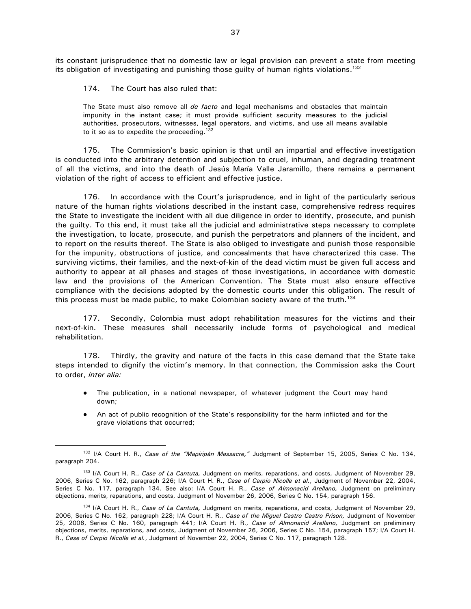its constant jurisprudence that no domestic law or legal provision can prevent a state from meeting its obligation of investigating and punishing those guilty of human rights violations.<sup>132</sup>

174. The Court has also ruled that:

 $\overline{a}$ 

The State must also remove all *de facto* and legal mechanisms and obstacles that maintain impunity in the instant case; it must provide sufficient security measures to the judicial authorities, prosecutors, witnesses, legal operators, and victims, and use all means available to it so as to expedite the proceeding.<sup>133</sup>

175. The Commission's basic opinion is that until an impartial and effective investigation is conducted into the arbitrary detention and subjection to cruel, inhuman, and degrading treatment of all the victims, and into the death of Jesús María Valle Jaramillo, there remains a permanent violation of the right of access to efficient and effective justice.

176. In accordance with the Court's jurisprudence, and in light of the particularly serious nature of the human rights violations described in the instant case, comprehensive redress requires the State to investigate the incident with all due diligence in order to identify, prosecute, and punish the guilty. To this end, it must take all the judicial and administrative steps necessary to complete the investigation, to locate, prosecute, and punish the perpetrators and planners of the incident, and to report on the results thereof. The State is also obliged to investigate and punish those responsible for the impunity, obstructions of justice, and concealments that have characterized this case. The surviving victims, their families, and the next-of-kin of the dead victim must be given full access and authority to appear at all phases and stages of those investigations, in accordance with domestic law and the provisions of the American Convention. The State must also ensure effective compliance with the decisions adopted by the domestic courts under this obligation. The result of this process must be made public, to make Colombian society aware of the truth.<sup>134</sup>

177. Secondly, Colombia must adopt rehabilitation measures for the victims and their next-of-kin. These measures shall necessarily include forms of psychological and medical rehabilitation.

178. Thirdly, the gravity and nature of the facts in this case demand that the State take steps intended to dignify the victim's memory. In that connection, the Commission asks the Court to order, *inter alia:* 

- The publication, in a national newspaper, of whatever judgment the Court may hand down;
- An act of public recognition of the State's responsibility for the harm inflicted and for the grave violations that occurred;

<sup>132</sup> I/A Court H. R., *Case of the "Mapiripán Massacre,"* Judgment of September 15, 2005, Series C No. 134, paragraph 204.

<sup>133</sup> I/A Court H. R., *Case of La Cantuta,* Judgment on merits, reparations, and costs, Judgment of November 29, 2006, Series C No. 162, paragraph 226; I/A Court H. R., *Case of Carpio Nicolle et al.*, Judgment of November 22, 2004, Series C No. 117, paragraph 134. See also: I/A Court H. R., *Case of Almonacid Arellano,* Judgment on preliminary objections, merits, reparations, and costs, Judgment of November 26, 2006, Series C No. 154, paragraph 156.

<sup>134</sup> I/A Court H. R., *Case of La Cantuta,* Judgment on merits, reparations, and costs, Judgment of November 29, 2006, Series C No. 162, paragraph 228; I/A Court H. R., *Case of the Miguel Castro Castro Prison,* Judgment of November 25, 2006, Series C No. 160, paragraph 441; I/A Court H. R., *Case of Almonacid Arellano,* Judgment on preliminary objections, merits, reparations, and costs, Judgment of November 26, 2006, Series C No. 154, paragraph 157; I/A Court H. R., *Case of Carpio Nicolle et al.*, Judgment of November 22, 2004, Series C No. 117, paragraph 128.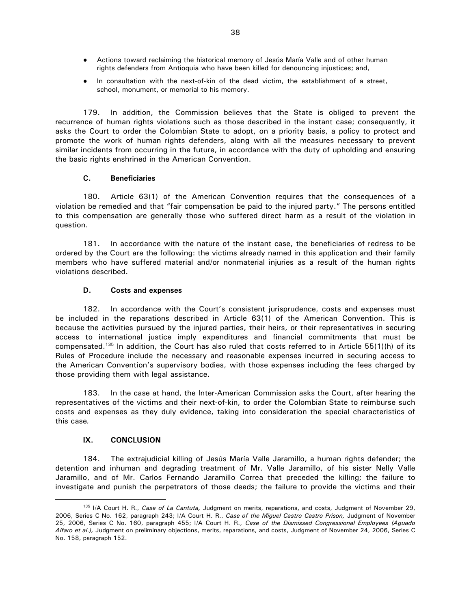- Actions toward reclaiming the historical memory of Jesús María Valle and of other human rights defenders from Antioquia who have been killed for denouncing injustices; and,
- In consultation with the next-of-kin of the dead victim, the establishment of a street, school, monument, or memorial to his memory.

179. In addition, the Commission believes that the State is obliged to prevent the recurrence of human rights violations such as those described in the instant case; consequently, it asks the Court to order the Colombian State to adopt, on a priority basis, a policy to protect and promote the work of human rights defenders, along with all the measures necessary to prevent similar incidents from occurring in the future, in accordance with the duty of upholding and ensuring the basic rights enshrined in the American Convention.

## **C. Beneficiaries**

180. Article 63(1) of the American Convention requires that the consequences of a violation be remedied and that "fair compensation be paid to the injured party." The persons entitled to this compensation are generally those who suffered direct harm as a result of the violation in question.

181. In accordance with the nature of the instant case, the beneficiaries of redress to be ordered by the Court are the following: the victims already named in this application and their family members who have suffered material and/or nonmaterial injuries as a result of the human rights violations described.

## **D. Costs and expenses**

182. In accordance with the Court's consistent jurisprudence, costs and expenses must be included in the reparations described in Article 63(1) of the American Convention. This is because the activities pursued by the injured parties, their heirs, or their representatives in securing access to international justice imply expenditures and financial commitments that must be compensated.<sup>135</sup> In addition, the Court has also ruled that costs referred to in Article 55(1)(h) of its Rules of Procedure include the necessary and reasonable expenses incurred in securing access to the American Convention's supervisory bodies, with those expenses including the fees charged by those providing them with legal assistance.

183. In the case at hand, the Inter-American Commission asks the Court, after hearing the representatives of the victims and their next-of-kin, to order the Colombian State to reimburse such costs and expenses as they duly evidence, taking into consideration the special characteristics of this case*.*

## **IX. CONCLUSION**

 $\overline{a}$ 

184. The extrajudicial killing of Jesús María Valle Jaramillo, a human rights defender; the detention and inhuman and degrading treatment of Mr. Valle Jaramillo, of his sister Nelly Valle Jaramillo, and of Mr. Carlos Fernando Jaramillo Correa that preceded the killing; the failure to investigate and punish the perpetrators of those deeds; the failure to provide the victims and their

<sup>135</sup> I/A Court H. R., *Case of La Cantuta,* Judgment on merits, reparations, and costs, Judgment of November 29, 2006, Series C No. 162, paragraph 243; I/A Court H. R., *Case of the Miguel Castro Castro Prison,* Judgment of November 25, 2006, Series C No. 160, paragraph 455; I/A Court H. R., *Case of the Dismissed Congressional Employees (Aguado Alfaro et al.),* Judgment on preliminary objections, merits, reparations, and costs, Judgment of November 24, 2006, Series C No. 158, paragraph 152.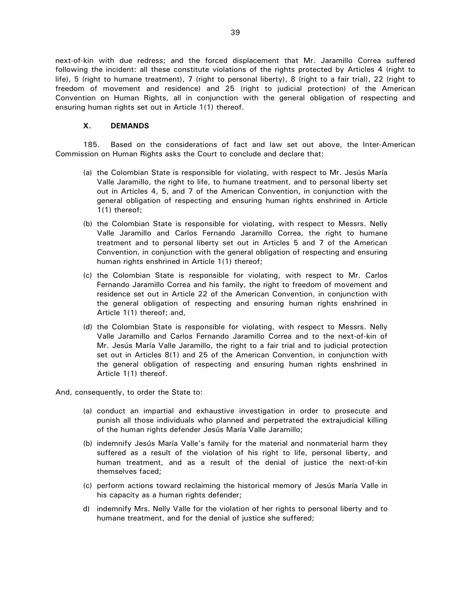next-of-kin with due redress; and the forced displacement that Mr. Jaramillo Correa suffered following the incident: all these constitute violations of the rights protected by Articles 4 (right to life), 5 (right to humane treatment), 7 (right to personal liberty), 8 (right to a fair trial), 22 (right to freedom of movement and residence) and 25 (right to judicial protection) of the American Convention on Human Rights, all in conjunction with the general obligation of respecting and ensuring human rights set out in Article 1(1) thereof.

#### **X. DEMANDS**

185. Based on the considerations of fact and law set out above, the Inter-American Commission on Human Rights asks the Court to conclude and declare that:

- (a) the Colombian State is responsible for violating, with respect to Mr. Jesús María Valle Jaramillo, the right to life, to humane treatment, and to personal liberty set out in Articles 4, 5, and 7 of the American Convention, in conjunction with the general obligation of respecting and ensuring human rights enshrined in Article 1(1) thereof;
- (b) the Colombian State is responsible for violating, with respect to Messrs. Nelly Valle Jaramillo and Carlos Fernando Jaramillo Correa, the right to humane treatment and to personal liberty set out in Articles 5 and 7 of the American Convention, in conjunction with the general obligation of respecting and ensuring human rights enshrined in Article 1(1) thereof;
- (c) the Colombian State is responsible for violating, with respect to Mr. Carlos Fernando Jaramillo Correa and his family, the right to freedom of movement and residence set out in Article 22 of the American Convention, in conjunction with the general obligation of respecting and ensuring human rights enshrined in Article 1(1) thereof; and,
- (d) the Colombian State is responsible for violating, with respect to Messrs. Nelly Valle Jaramillo and Carlos Fernando Jaramillo Correa and to the next-of-kin of Mr. Jesús María Valle Jaramillo, the right to a fair trial and to judicial protection set out in Articles 8(1) and 25 of the American Convention, in conjunction with the general obligation of respecting and ensuring human rights enshrined in Article 1(1) thereof.

And, consequently, to order the State to:

- (a) conduct an impartial and exhaustive investigation in order to prosecute and punish all those individuals who planned and perpetrated the extrajudicial killing of the human rights defender Jesús María Valle Jaramillo;
- (b) indemnify Jesús María Valle's family for the material and nonmaterial harm they suffered as a result of the violation of his right to life, personal liberty, and human treatment, and as a result of the denial of justice the next-of-kin themselves faced;
- (c) perform actions toward reclaiming the historical memory of Jesús María Valle in his capacity as a human rights defender;
- d) indemnify Mrs. Nelly Valle for the violation of her rights to personal liberty and to humane treatment, and for the denial of justice she suffered;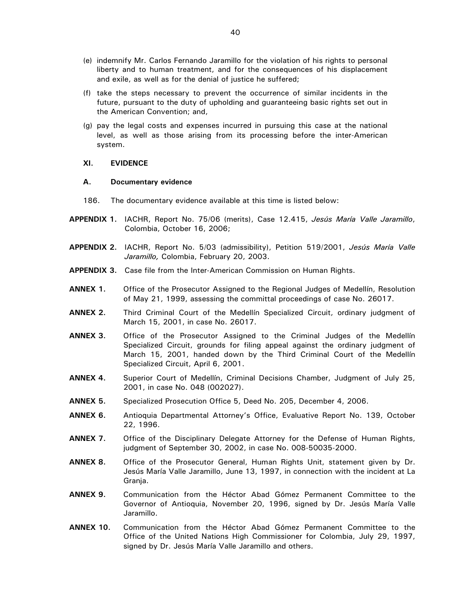- (e) indemnify Mr. Carlos Fernando Jaramillo for the violation of his rights to personal liberty and to human treatment, and for the consequences of his displacement and exile, as well as for the denial of justice he suffered;
- (f) take the steps necessary to prevent the occurrence of similar incidents in the future, pursuant to the duty of upholding and guaranteeing basic rights set out in the American Convention; and,
- (g) pay the legal costs and expenses incurred in pursuing this case at the national level, as well as those arising from its processing before the inter-American system.

#### **XI. EVIDENCE**

#### **A. Documentary evidence**

- 186. The documentary evidence available at this time is listed below:
- **APPENDIX 1.** IACHR, Report No. 75/06 (merits), Case 12.415, *Jesús María Valle Jaramillo*, Colombia, October 16, 2006;
- **APPENDIX 2.** IACHR, Report No. 5/03 (admissibility), Petition 519/2001, *Jesús María Valle Jaramillo,* Colombia, February 20, 2003.
- **APPENDIX 3.** Case file from the Inter-American Commission on Human Rights.
- **ANNEX 1.** Office of the Prosecutor Assigned to the Regional Judges of Medellín, Resolution of May 21, 1999, assessing the committal proceedings of case No. 26017.
- **ANNEX 2.** Third Criminal Court of the Medellín Specialized Circuit, ordinary judgment of March 15, 2001, in case No. 26017.
- **ANNEX 3.** Office of the Prosecutor Assigned to the Criminal Judges of the Medellín Specialized Circuit, grounds for filing appeal against the ordinary judgment of March 15, 2001, handed down by the Third Criminal Court of the Medellín Specialized Circuit, April 6, 2001.
- **ANNEX 4.** Superior Court of Medellín, Criminal Decisions Chamber, Judgment of July 25, 2001, in case No. 048 (002027).
- **ANNEX 5.** Specialized Prosecution Office 5, Deed No. 205, December 4, 2006.
- **ANNEX 6.** Antioquia Departmental Attorney's Office, Evaluative Report No. 139, October 22, 1996.
- **ANNEX 7.** Office of the Disciplinary Delegate Attorney for the Defense of Human Rights, judgment of September 30, 2002, in case No. 008-50035-2000.
- **ANNEX 8.** Office of the Prosecutor General, Human Rights Unit, statement given by Dr. Jesús María Valle Jaramillo, June 13, 1997, in connection with the incident at La Granja.
- **ANNEX 9.** Communication from the Héctor Abad Gómez Permanent Committee to the Governor of Antioquia, November 20, 1996, signed by Dr. Jesús María Valle Jaramillo.
- **ANNEX 10.** Communication from the Héctor Abad Gómez Permanent Committee to the Office of the United Nations High Commissioner for Colombia, July 29, 1997, signed by Dr. Jesús María Valle Jaramillo and others.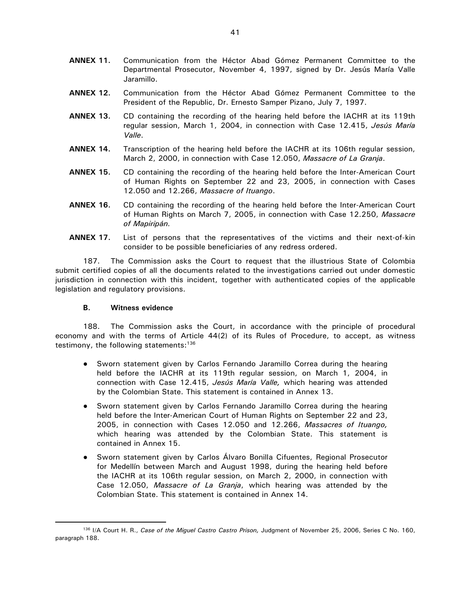- **ANNEX 11.** Communication from the Héctor Abad Gómez Permanent Committee to the Departmental Prosecutor, November 4, 1997, signed by Dr. Jesús María Valle Jaramillo.
- **ANNEX 12.** Communication from the Héctor Abad Gómez Permanent Committee to the President of the Republic, Dr. Ernesto Samper Pizano, July 7, 1997.
- **ANNEX 13.** CD containing the recording of the hearing held before the IACHR at its 119th regular session, March 1, 2004, in connection with Case 12.415, *Jesús María Valle*.
- **ANNEX 14.** Transcription of the hearing held before the IACHR at its 106th regular session, March 2, 2000, in connection with Case 12.050, *Massacre of La Granja*.
- **ANNEX 15.** CD containing the recording of the hearing held before the Inter-American Court of Human Rights on September 22 and 23, 2005, in connection with Cases 12.050 and 12.266, *Massacre of Ituango*.
- **ANNEX 16.** CD containing the recording of the hearing held before the Inter-American Court of Human Rights on March 7, 2005, in connection with Case 12.250, *Massacre of Mapiripán.*
- **ANNEX 17.** List of persons that the representatives of the victims and their next-of-kin consider to be possible beneficiaries of any redress ordered.

187. The Commission asks the Court to request that the illustrious State of Colombia submit certified copies of all the documents related to the investigations carried out under domestic jurisdiction in connection with this incident, together with authenticated copies of the applicable legislation and regulatory provisions.

#### **B. Witness evidence**

 $\overline{a}$ 

188. The Commission asks the Court, in accordance with the principle of procedural economy and with the terms of Article 44(2) of its Rules of Procedure, to accept, as witness testimony, the following statements: $136$ 

- Sworn statement given by Carlos Fernando Jaramillo Correa during the hearing held before the IACHR at its 119th regular session, on March 1, 2004, in connection with Case 12.415, *Jesús María Valle,* which hearing was attended by the Colombian State. This statement is contained in Annex 13.
- Sworn statement given by Carlos Fernando Jaramillo Correa during the hearing held before the Inter-American Court of Human Rights on September 22 and 23, 2005, in connection with Cases 12.050 and 12.266, *Massacres of Ituango,* which hearing was attended by the Colombian State. This statement is contained in Annex 15.
- Sworn statement given by Carlos Álvaro Bonilla Cifuentes, Regional Prosecutor for Medellín between March and August 1998, during the hearing held before the IACHR at its 106th regular session, on March 2, 2000, in connection with Case 12.050, *Massacre of La Granja*, which hearing was attended by the Colombian State. This statement is contained in Annex 14.

<sup>136</sup> I/A Court H. R., *Case of the Miguel Castro Castro Prison,* Judgment of November 25, 2006, Series C No. 160, paragraph 188.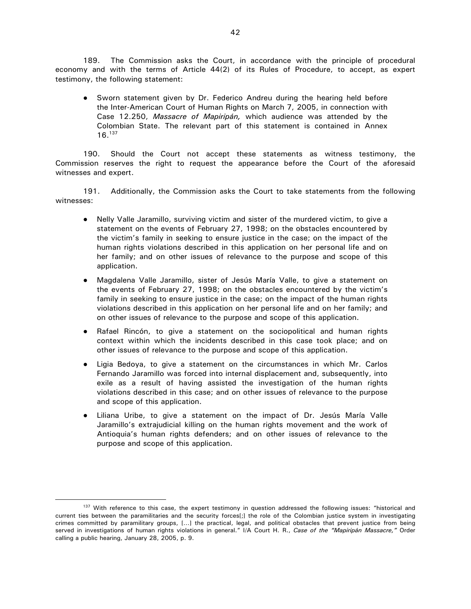189. The Commission asks the Court, in accordance with the principle of procedural economy and with the terms of Article 44(2) of its Rules of Procedure, to accept, as expert testimony, the following statement:

• Sworn statement given by Dr. Federico Andreu during the hearing held before the Inter-American Court of Human Rights on March 7, 2005, in connection with Case 12.250, *Massacre of Mapiripán,* which audience was attended by the Colombian State. The relevant part of this statement is contained in Annex 16.<sup>137</sup>

190. Should the Court not accept these statements as witness testimony, the Commission reserves the right to request the appearance before the Court of the aforesaid witnesses and expert.

191. Additionally, the Commission asks the Court to take statements from the following witnesses:

- Nelly Valle Jaramillo, surviving victim and sister of the murdered victim, to give a statement on the events of February 27, 1998; on the obstacles encountered by the victim's family in seeking to ensure justice in the case; on the impact of the human rights violations described in this application on her personal life and on her family; and on other issues of relevance to the purpose and scope of this application.
- Magdalena Valle Jaramillo, sister of Jesús María Valle, to give a statement on the events of February 27, 1998; on the obstacles encountered by the victim's family in seeking to ensure justice in the case; on the impact of the human rights violations described in this application on her personal life and on her family; and on other issues of relevance to the purpose and scope of this application.
- Rafael Rincón, to give a statement on the sociopolitical and human rights context within which the incidents described in this case took place; and on other issues of relevance to the purpose and scope of this application.
- Ligia Bedoya, to give a statement on the circumstances in which Mr. Carlos Fernando Jaramillo was forced into internal displacement and, subsequently, into exile as a result of having assisted the investigation of the human rights violations described in this case; and on other issues of relevance to the purpose and scope of this application.
- Liliana Uribe, to give a statement on the impact of Dr. Jesús María Valle Jaramillo's extrajudicial killing on the human rights movement and the work of Antioquia's human rights defenders; and on other issues of relevance to the purpose and scope of this application.

<sup>&</sup>lt;sup>137</sup> With reference to this case, the expert testimony in question addressed the following issues: "historical and current ties between the paramilitaries and the security forces[;] the role of the Colombian justice system in investigating crimes committed by paramilitary groups, […] the practical, legal, and political obstacles that prevent justice from being served in investigations of human rights violations in general." I/A Court H. R., *Case of the "Mapiripán Massacre,"* Order calling a public hearing, January 28, 2005, p. 9.